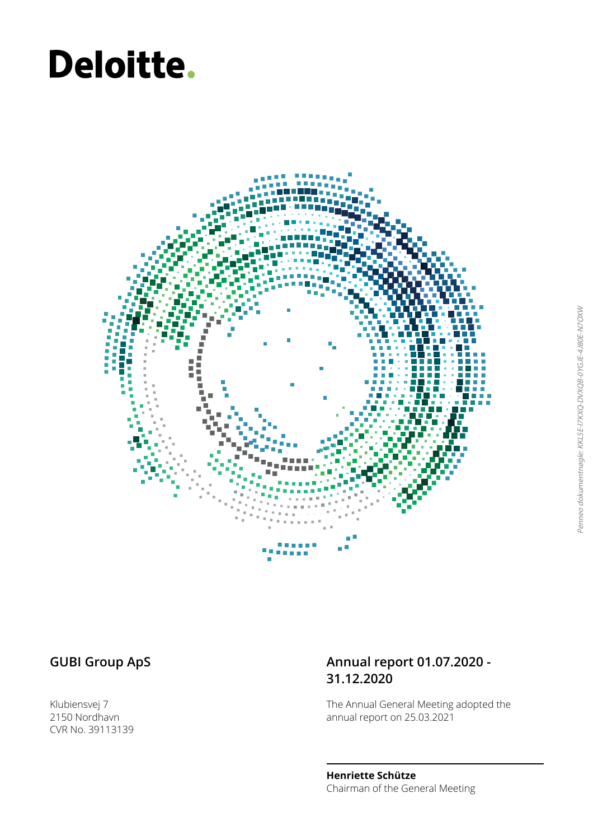# Deloitte.



Klubiensvej 7 2150 Nordhavn CVR No. 39113139

### GUBI Group ApS **Annual report 01.07.2020 -31.12.2020**

The Annual General Meeting adopted the annual report on 25.03.2021

**Henriette Schütze** Chairman of the General Meeting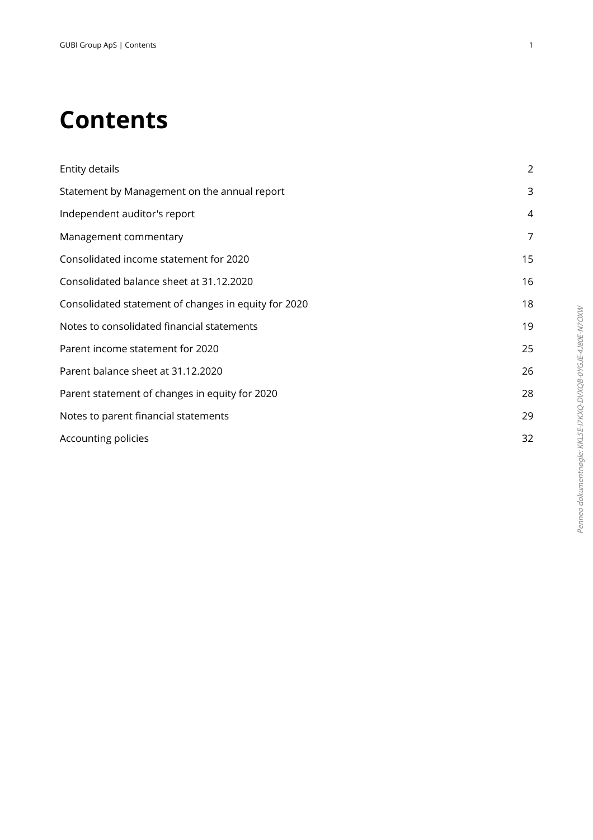## **Contents**

| Entity details                                       | $\overline{2}$ |
|------------------------------------------------------|----------------|
| Statement by Management on the annual report         | 3              |
| Independent auditor's report                         | 4              |
| Management commentary                                | 7              |
| Consolidated income statement for 2020               | 15             |
| Consolidated balance sheet at 31.12.2020             | 16             |
| Consolidated statement of changes in equity for 2020 | 18             |
| Notes to consolidated financial statements           | 19             |
| Parent income statement for 2020                     | 25             |
| Parent balance sheet at 31.12.2020                   | 26             |
| Parent statement of changes in equity for 2020       | 28             |
| Notes to parent financial statements                 | 29             |
| Accounting policies                                  | 32             |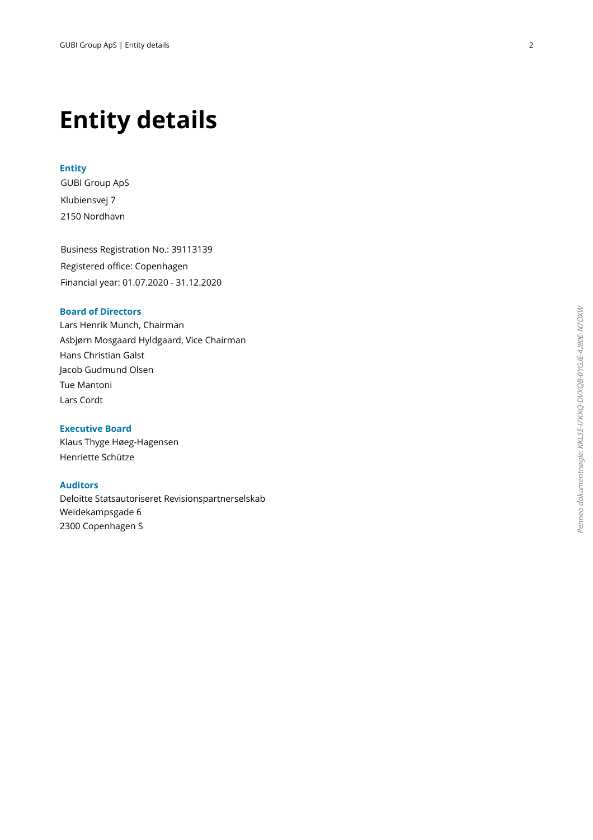### **Entity details**

### **Entity**

GUBI Group ApS Klubiensvej 7 2150 Nordhavn

Business Registration No.: 39113139 Registered office: Copenhagen Financial year: 01.07.2020 - 31.12.2020

### **Board of Directors**

Lars Henrik Munch, Chairman Asbjørn Mosgaard Hyldgaard, Vice Chairman Hans Christian Galst Jacob Gudmund Olsen Tue Mantoni Lars Cordt

**Executive Board** Klaus Thyge Høeg-Hagensen Henriette Schütze

### **Auditors**

Deloitte Statsautoriseret Revisionspartnerselskab Weidekampsgade 6 2300 Copenhagen S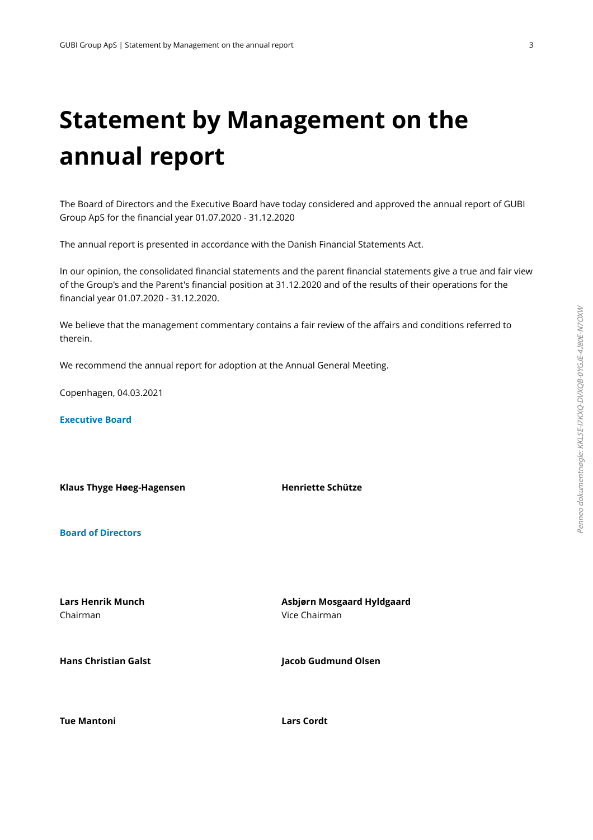## **Statement by Management on the annual report**

The Board of Directors and the Executive Board have today considered and approved the annual report of GUBI Group ApS for the financial year 01.07.2020 - 31.12.2020

The annual report is presented in accordance with the Danish Financial Statements Act.

In our opinion, the consolidated financial statements and the parent financial statements give a true and fair view of the Group's and the Parent's financial position at 31.12.2020 and of the results of their operations for the financial year 01.07.2020 - 31.12.2020.

We believe that the management commentary contains a fair review of the affairs and conditions referred to therein.

We recommend the annual report for adoption at the Annual General Meeting.

Copenhagen, 04.03.2021

**Executive Board**

**Klaus Thyge Høeg-Hagensen Henriette Schütze**

**Board of Directors**

**Lars Henrik Munch** Chairman

**Asbjørn Mosgaard Hyldgaard** Vice Chairman

**Hans Christian Galst Jacob Gudmund Olsen**

**Tue Mantoni Lars Cordt**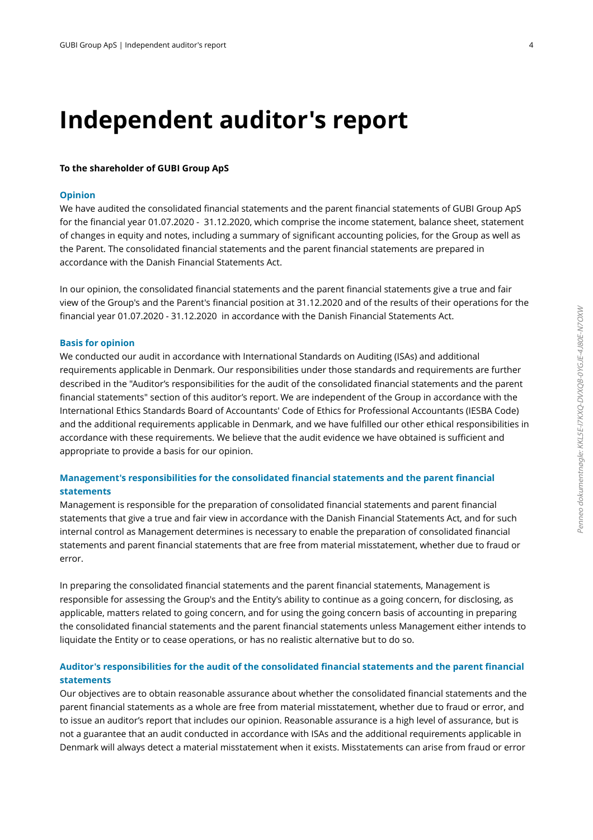### **Independent auditor's report**

### **To the shareholder of GUBI Group ApS**

### **Opinion**

We have audited the consolidated financial statements and the parent financial statements of GUBI Group ApS for the financial year 01.07.2020 - 31.12.2020, which comprise the income statement, balance sheet, statement of changes in equity and notes, including a summary of significant accounting policies, for the Group as well as the Parent. The consolidated financial statements and the parent financial statements are prepared in accordance with the Danish Financial Statements Act.

 In our opinion, the consolidated financial statements and the parent financial statements give a true and fair view of the Group's and the Parent's financial position at 31.12.2020 and of the results of their operations for the financial year 01.07.2020 - 31.12.2020 in accordance with the Danish Financial Statements Act.

### **Basis for opinion**

We conducted our audit in accordance with International Standards on Auditing (ISAs) and additional requirements applicable in Denmark. Our responsibilities under those standards and requirements are further described in the "Auditor's responsibilities for the audit of the consolidated financial statements and the parent financial statements" section of this auditor's report. We are independent of the Group in accordance with the International Ethics Standards Board of Accountants' Code of Ethics for Professional Accountants (IESBA Code) and the additional requirements applicable in Denmark, and we have fulfilled our other ethical responsibilities in accordance with these requirements. We believe that the audit evidence we have obtained is sufficient and appropriate to provide a basis for our opinion.

### **Management's responsibilities for the consolidated financial statements and the parent financial statements**

Management is responsible for the preparation of consolidated financial statements and parent financial statements that give a true and fair view in accordance with the Danish Financial Statements Act, and for such internal control as Management determines is necessary to enable the preparation of consolidated financial statements and parent financial statements that are free from material misstatement, whether due to fraud or error.

 In preparing the consolidated financial statements and the parent financial statements, Management is responsible for assessing the Group's and the Entity's ability to continue as a going concern, for disclosing, as applicable, matters related to going concern, and for using the going concern basis of accounting in preparing the consolidated financial statements and the parent financial statements unless Management either intends to liquidate the Entity or to cease operations, or has no realistic alternative but to do so.

### **Auditor's responsibilities for the audit of the consolidated financial statements and the parent financial statements**

Our objectives are to obtain reasonable assurance about whether the consolidated financial statements and the parent financial statements as a whole are free from material misstatement, whether due to fraud or error, and to issue an auditor's report that includes our opinion. Reasonable assurance is a high level of assurance, but is not a guarantee that an audit conducted in accordance with ISAs and the additional requirements applicable in Denmark will always detect a material misstatement when it exists. Misstatements can arise from fraud or error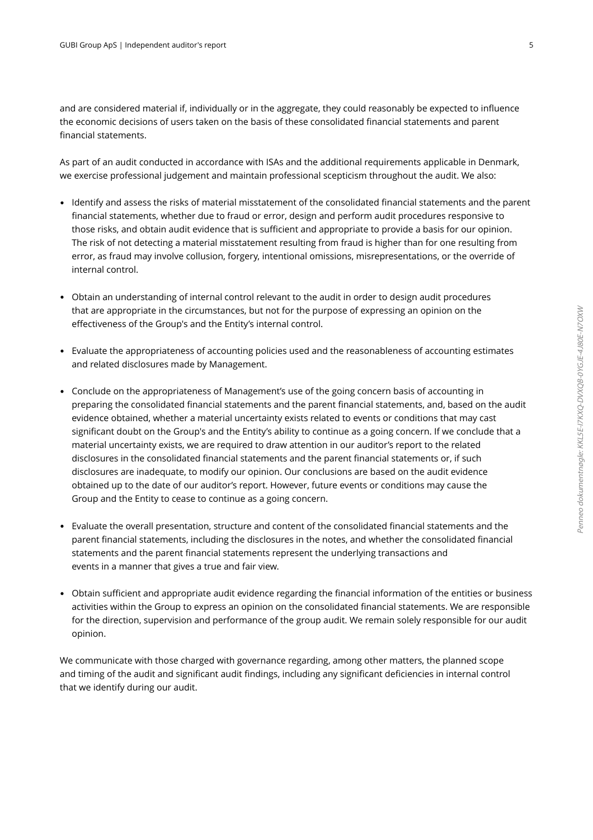and are considered material if, individually or in the aggregate, they could reasonably be expected to influence the economic decisions of users taken on the basis of these consolidated financial statements and parent financial statements.

 As part of an audit conducted in accordance with ISAs and the additional requirements applicable in Denmark, we exercise professional judgement and maintain professional scepticism throughout the audit. We also:

- Identify and assess the risks of material misstatement of the consolidated financial statements and the parent financial statements, whether due to fraud or error, design and perform audit procedures responsive to those risks, and obtain audit evidence that is sufficient and appropriate to provide a basis for our opinion. The risk of not detecting a material misstatement resulting from fraud is higher than for one resulting from error, as fraud may involve collusion, forgery, intentional omissions, misrepresentations, or the override of internal control.
- Obtain an understanding of internal control relevant to the audit in order to design audit procedures that are appropriate in the circumstances, but not for the purpose of expressing an opinion on the effectiveness of the Group's and the Entity's internal control.
- Evaluate the appropriateness of accounting policies used and the reasonableness of accounting estimates and related disclosures made by Management.
- Conclude on the appropriateness of Management's use of the going concern basis of accounting in preparing the consolidated financial statements and the parent financial statements, and, based on the audit evidence obtained, whether a material uncertainty exists related to events or conditions that may cast significant doubt on the Group's and the Entity's ability to continue as a going concern. If we conclude that a material uncertainty exists, we are required to draw attention in our auditor's report to the related disclosures in the consolidated financial statements and the parent financial statements or, if such disclosures are inadequate, to modify our opinion. Our conclusions are based on the audit evidence obtained up to the date of our auditor's report. However, future events or conditions may cause the Group and the Entity to cease to continue as a going concern.
- Evaluate the overall presentation, structure and content of the consolidated financial statements and the parent financial statements, including the disclosures in the notes, and whether the consolidated financial statements and the parent financial statements represent the underlying transactions and events in a manner that gives a true and fair view.
- Obtain sufficient and appropriate audit evidence regarding the financial information of the entities or business activities within the Group to express an opinion on the consolidated financial statements. We are responsible for the direction, supervision and performance of the group audit. We remain solely responsible for our audit opinion.

We communicate with those charged with governance regarding, among other matters, the planned scope and timing of the audit and significant audit findings, including any significant deficiencies in internal control that we identify during our audit.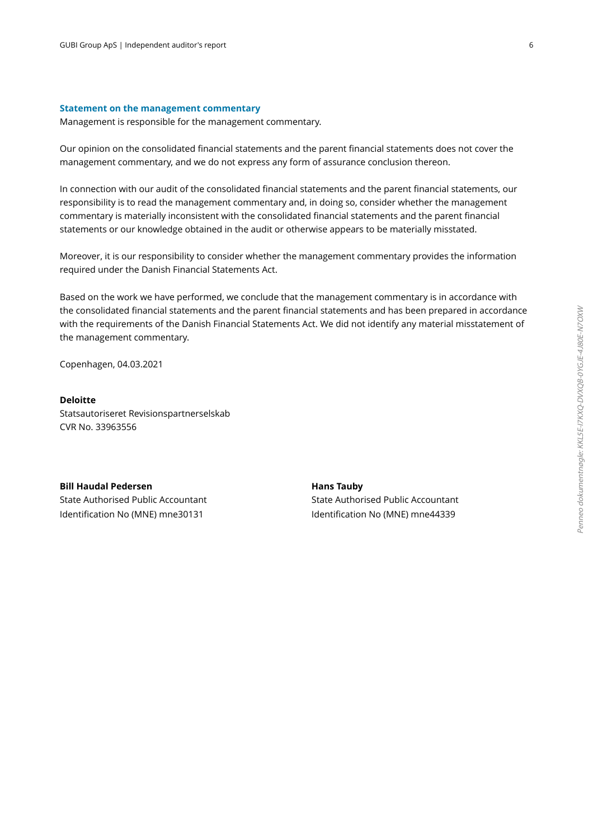#### **Statement on the management commentary**

Management is responsible for the management commentary.

 Our opinion on the consolidated financial statements and the parent financial statements does not cover the management commentary, and we do not express any form of assurance conclusion thereon.

 In connection with our audit of the consolidated financial statements and the parent financial statements, our responsibility is to read the management commentary and, in doing so, consider whether the management commentary is materially inconsistent with the consolidated financial statements and the parent financial statements or our knowledge obtained in the audit or otherwise appears to be materially misstated.

 Moreover, it is our responsibility to consider whether the management commentary provides the information required under the Danish Financial Statements Act.

Based on the work we have performed, we conclude that the management commentary is in accordance with the consolidated financial statements and the parent financial statements and has been prepared in accordance with the requirements of the Danish Financial Statements Act. We did not identify any material misstatement of the management commentary.

Copenhagen, 04.03.2021

### **Deloitte**

Statsautoriseret Revisionspartnerselskab CVR No. 33963556

**Bill Haudal Pedersen** State Authorised Public Accountant Identification No (MNE) mne30131

**Hans Tauby** State Authorised Public Accountant Identification No (MNE) mne44339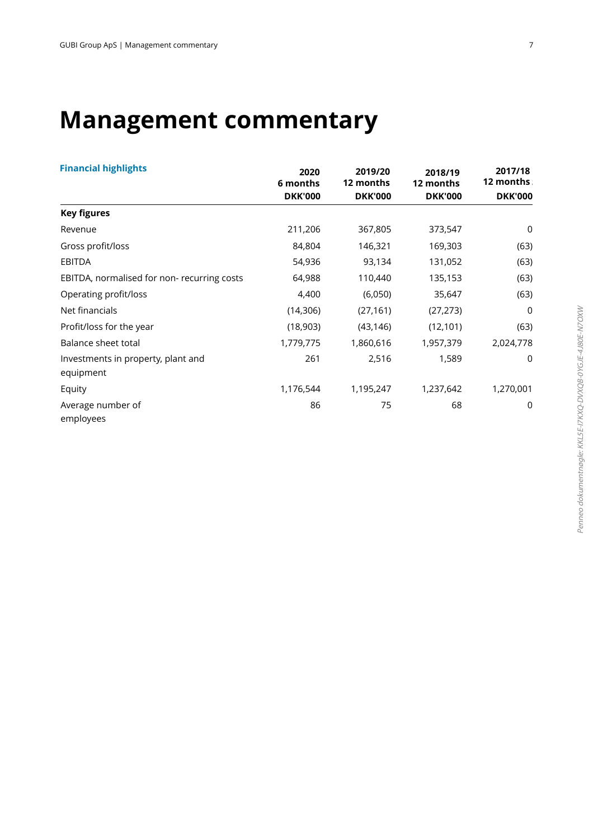## **Management commentary**

| <b>Financial highlights</b>                     | 2020           | 2019/20        | 2018/19        | 2017/18        |
|-------------------------------------------------|----------------|----------------|----------------|----------------|
|                                                 | 6 months       | 12 months      | 12 months      | 12 months      |
|                                                 | <b>DKK'000</b> | <b>DKK'000</b> | <b>DKK'000</b> | <b>DKK'000</b> |
| <b>Key figures</b>                              |                |                |                |                |
| Revenue                                         | 211,206        | 367,805        | 373,547        | $\mathbf 0$    |
| Gross profit/loss                               | 84,804         | 146,321        | 169,303        | (63)           |
| <b>EBITDA</b>                                   | 54,936         | 93,134         | 131,052        | (63)           |
| EBITDA, normalised for non-recurring costs      | 64,988         | 110,440        | 135,153        | (63)           |
| Operating profit/loss                           | 4,400          | (6,050)        | 35,647         | (63)           |
| Net financials                                  | (14, 306)      | (27, 161)      | (27, 273)      | $\mathbf 0$    |
| Profit/loss for the year                        | (18,903)       | (43, 146)      | (12, 101)      | (63)           |
| <b>Balance sheet total</b>                      | 1,779,775      | 1,860,616      | 1,957,379      | 2,024,778      |
| Investments in property, plant and<br>equipment | 261            | 2,516          | 1,589          | $\mathbf 0$    |
| Equity                                          | 1,176,544      | 1,195,247      | 1,237,642      | 1,270,001      |
| Average number of<br>employees                  | 86             | 75             | 68             | 0              |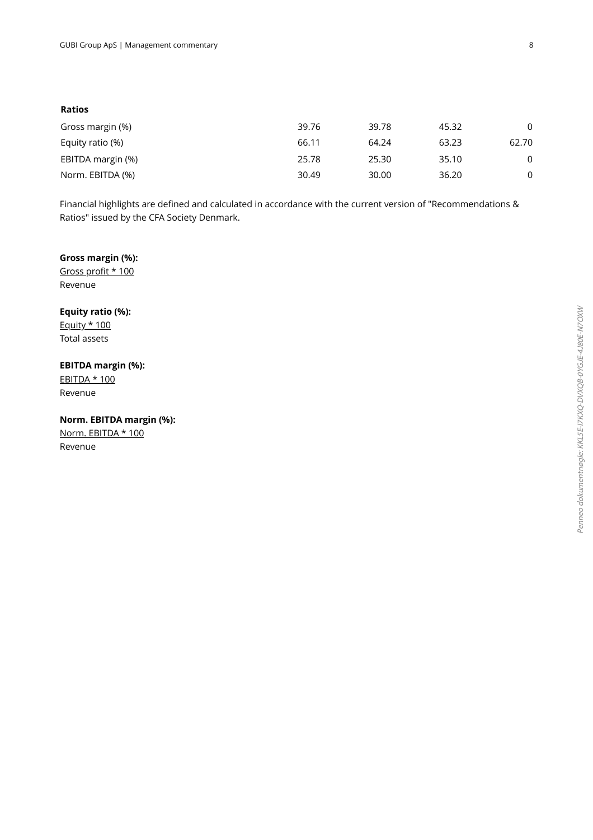| Ratios            |       |       |       |          |
|-------------------|-------|-------|-------|----------|
| Gross margin (%)  | 39.76 | 39.78 | 45.32 | $\Omega$ |
| Equity ratio (%)  | 66.11 | 64.24 | 63.23 | 62.70    |
| EBITDA margin (%) | 25.78 | 25.30 | 35.10 | 0        |
| Norm. EBITDA (%)  | 30.49 | 30.00 | 36.20 | 0        |

Financial highlights are defined and calculated in accordance with the current version of "Recommendations & Ratios" issued by the CFA Society Denmark.

### **Gross margin (%):**

Gross profit \* 100 Revenue

**Equity ratio (%):** Equity \* 100 Total assets

### **EBITDA margin (%):**

EBITDA \* 100 Revenue

**Norm. EBITDA margin (%):** Norm. EBITDA \* 100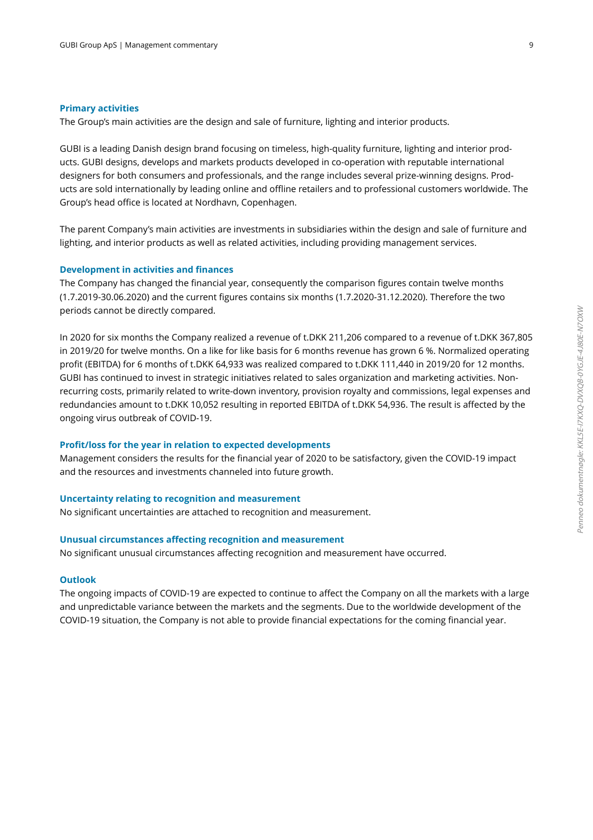#### **Primary activities**

The Group's main activities are the design and sale of furniture, lighting and interior products.

 GUBI is a leading Danish design brand focusing on timeless, high-quality furniture, lighting and interior products. GUBI designs, develops and markets products developed in co-operation with reputable international designers for both consumers and professionals, and the range includes several prize-winning designs. Products are sold internationally by leading online and offline retailers and to professional customers worldwide. The Group's head office is located at Nordhavn, Copenhagen.

 The parent Company's main activities are investments in subsidiaries within the design and sale of furniture and lighting, and interior products as well as related activities, including providing management services.

### **Development in activities and finances**

The Company has changed the financial year, consequently the comparison figures contain twelve months (1.7.2019-30.06.2020) and the current figures contains six months (1.7.2020-31.12.2020). Therefore the two periods cannot be directly compared.

 In 2020 for six months the Company realized a revenue of t.DKK 211,206 compared to a revenue of t.DKK 367,805 in 2019/20 for twelve months. On a like for like basis for 6 months revenue has grown 6 %. Normalized operating profit (EBITDA) for 6 months of t.DKK 64,933 was realized compared to t.DKK 111,440 in 2019/20 for 12 months. GUBI has continued to invest in strategic initiatives related to sales organization and marketing activities. Nonrecurring costs, primarily related to write-down inventory, provision royalty and commissions, legal expenses and redundancies amount to t.DKK 10,052 resulting in reported EBITDA of t.DKK 54,936. The result is affected by the ongoing virus outbreak of COVID-19.

#### **Profit/loss for the year in relation to expected developments**

Management considers the results for the financial year of 2020 to be satisfactory, given the COVID-19 impact and the resources and investments channeled into future growth.

### **Uncertainty relating to recognition and measurement**

No significant uncertainties are attached to recognition and measurement.

### **Unusual circumstances affecting recognition and measurement**

No significant unusual circumstances affecting recognition and measurement have occurred.

### **Outlook**

The ongoing impacts of COVID-19 are expected to continue to affect the Company on all the markets with a large and unpredictable variance between the markets and the segments. Due to the worldwide development of the COVID-19 situation, the Company is not able to provide financial expectations for the coming financial year.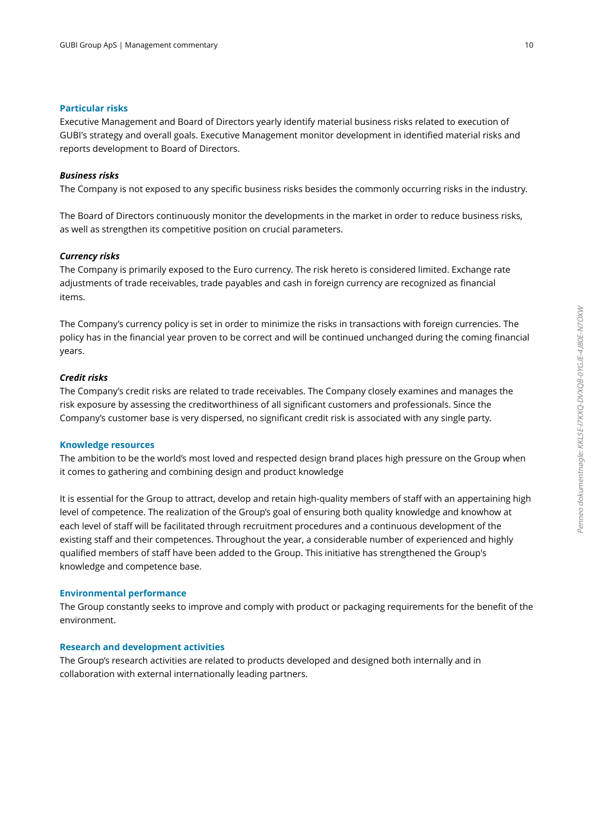### **Particular risks**

Executive Management and Board of Directors yearly identify material business risks related to execution of GUBI's strategy and overall goals. Executive Management monitor development in identified material risks and reports development to Board of Directors.

#### *Business risks*

The Company is not exposed to any specific business risks besides the commonly occurring risks in the industry.

 The Board of Directors continuously monitor the developments in the market in order to reduce business risks, as well as strengthen its competitive position on crucial parameters.

### *Currency risks*

 The Company is primarily exposed to the Euro currency. The risk hereto is considered limited. Exchange rate adjustments of trade receivables, trade payables and cash in foreign currency are recognized as financial items.

 The Company's currency policy is set in order to minimize the risks in transactions with foreign currencies. The policy has in the financial year proven to be correct and will be continued unchanged during the coming financial years.

### *Credit risks*

 The Company's credit risks are related to trade receivables. The Company closely examines and manages the risk exposure by assessing the creditworthiness of all significant customers and professionals. Since the Company's customer base is very dispersed, no significant credit risk is associated with any single party.

### **Knowledge resources**

The ambition to be the world's most loved and respected design brand places high pressure on the Group when it comes to gathering and combining design and product knowledge

 It is essential for the Group to attract, develop and retain high-quality members of staff with an appertaining high level of competence. The realization of the Group's goal of ensuring both quality knowledge and knowhow at each level of staff will be facilitated through recruitment procedures and a continuous development of the existing staff and their competences. Throughout the year, a considerable number of experienced and highly qualified members of staff have been added to the Group. This initiative has strengthened the Group's knowledge and competence base.

### **Environmental performance**

The Group constantly seeks to improve and comply with product or packaging requirements for the benefit of the environment.

### **Research and development activities**

The Group's research activities are related to products developed and designed both internally and in collaboration with external internationally leading partners.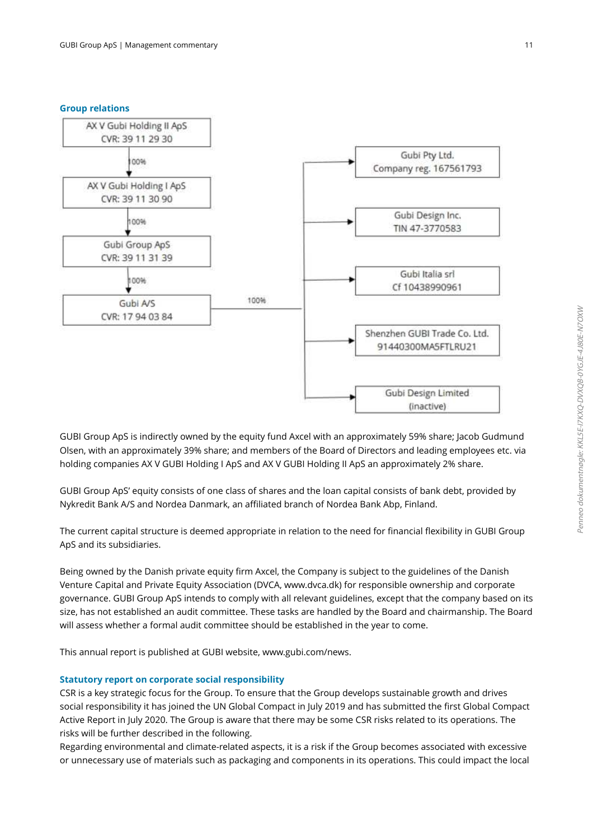### **Group relations**



 GUBI Group ApS is indirectly owned by the equity fund Axcel with an approximately 59% share; Jacob Gudmund Olsen, with an approximately 39% share; and members of the Board of Directors and leading employees etc. via holding companies AX V GUBI Holding I ApS and AX V GUBI Holding II ApS an approximately 2% share.

 GUBI Group ApS' equity consists of one class of shares and the loan capital consists of bank debt, provided by Nykredit Bank A/S and Nordea Danmark, an affiliated branch of Nordea Bank Abp, Finland.

 The current capital structure is deemed appropriate in relation to the need for financial flexibility in GUBI Group ApS and its subsidiaries.

 Being owned by the Danish private equity firm Axcel, the Company is subject to the guidelines of the Danish Venture Capital and Private Equity Association (DVCA, www.dvca.dk) for responsible ownership and corporate governance. GUBI Group ApS intends to comply with all relevant guidelines, except that the company based on its size, has not established an audit committee. These tasks are handled by the Board and chairmanship. The Board will assess whether a formal audit committee should be established in the year to come.

This annual report is published at GUBI website, www.gubi.com/news.

### **Statutory report on corporate social responsibility**

CSR is a key strategic focus for the Group. To ensure that the Group develops sustainable growth and drives social responsibility it has joined the UN Global Compact in July 2019 and has submitted the first Global Compact Active Report in July 2020. The Group is aware that there may be some CSR risks related to its operations. The risks will be further described in the following.

 Regarding environmental and climate-related aspects, it is a risk if the Group becomes associated with excessive or unnecessary use of materials such as packaging and components in its operations. This could impact the local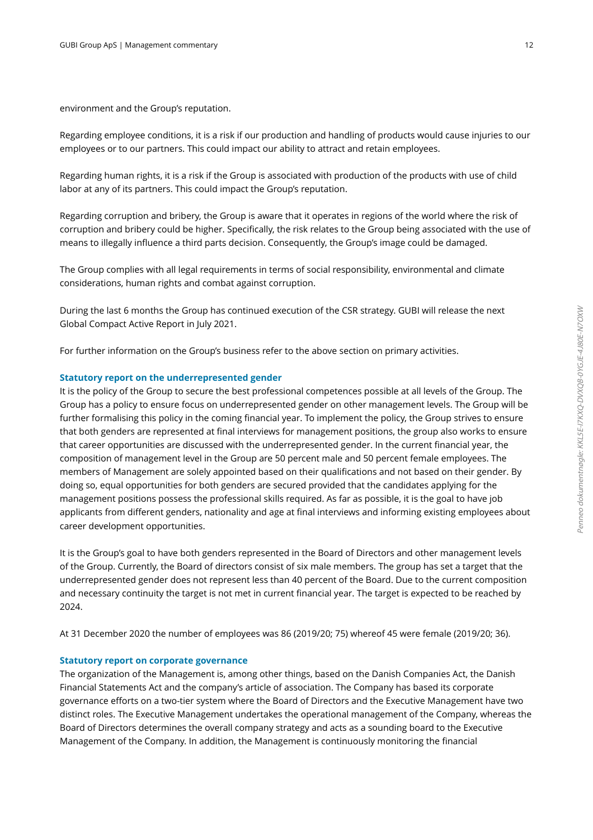environment and the Group's reputation.

 Regarding employee conditions, it is a risk if our production and handling of products would cause injuries to our employees or to our partners. This could impact our ability to attract and retain employees.

 Regarding human rights, it is a risk if the Group is associated with production of the products with use of child labor at any of its partners. This could impact the Group's reputation.

 Regarding corruption and bribery, the Group is aware that it operates in regions of the world where the risk of corruption and bribery could be higher. Specifically, the risk relates to the Group being associated with the use of means to illegally influence a third parts decision. Consequently, the Group's image could be damaged.

 The Group complies with all legal requirements in terms of social responsibility, environmental and climate considerations, human rights and combat against corruption.

 During the last 6 months the Group has continued execution of the CSR strategy. GUBI will release the next Global Compact Active Report in July 2021.

For further information on the Group's business refer to the above section on primary activities.

### **Statutory report on the underrepresented gender**

It is the policy of the Group to secure the best professional competences possible at all levels of the Group. The Group has a policy to ensure focus on underrepresented gender on other management levels. The Group will be further formalising this policy in the coming financial year. To implement the policy, the Group strives to ensure that both genders are represented at final interviews for management positions, the group also works to ensure that career opportunities are discussed with the underrepresented gender. In the current financial year, the composition of management level in the Group are 50 percent male and 50 percent female employees. The members of Management are solely appointed based on their qualifications and not based on their gender. By doing so, equal opportunities for both genders are secured provided that the candidates applying for the management positions possess the professional skills required. As far as possible, it is the goal to have job applicants from different genders, nationality and age at final interviews and informing existing employees about career development opportunities.

 It is the Group's goal to have both genders represented in the Board of Directors and other management levels of the Group. Currently, the Board of directors consist of six male members. The group has set a target that the underrepresented gender does not represent less than 40 percent of the Board. Due to the current composition and necessary continuity the target is not met in current financial year. The target is expected to be reached by 2024.

At 31 December 2020 the number of employees was 86 (2019/20; 75) whereof 45 were female (2019/20; 36).

### **Statutory report on corporate governance**

The organization of the Management is, among other things, based on the Danish Companies Act, the Danish Financial Statements Act and the company's article of association. The Company has based its corporate governance efforts on a two-tier system where the Board of Directors and the Executive Management have two distinct roles. The Executive Management undertakes the operational management of the Company, whereas the Board of Directors determines the overall company strategy and acts as a sounding board to the Executive Management of the Company. In addition, the Management is continuously monitoring the financial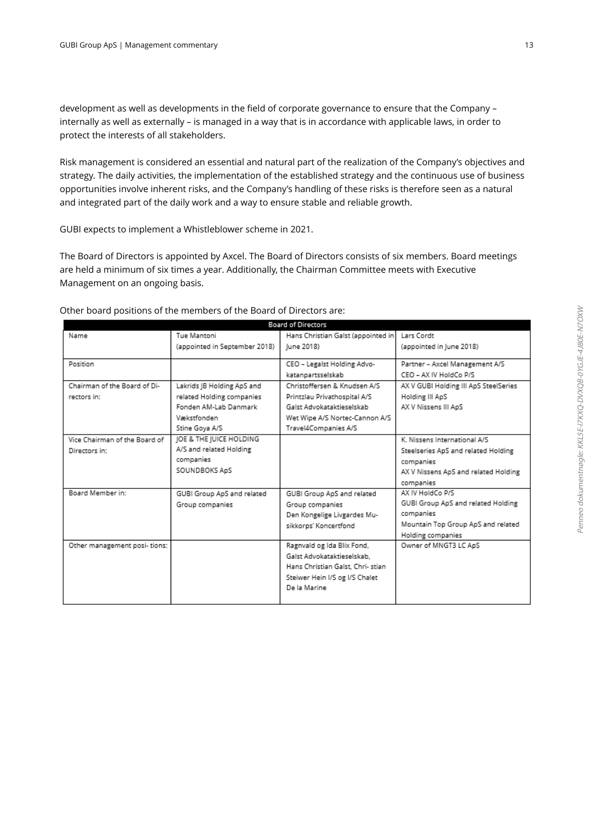development as well as developments in the field of corporate governance to ensure that the Company – internally as well as externally – is managed in a way that is in accordance with applicable laws, in order to protect the interests of all stakeholders.

 Risk management is considered an essential and natural part of the realization of the Company's objectives and strategy. The daily activities, the implementation of the established strategy and the continuous use of business opportunities involve inherent risks, and the Company's handling of these risks is therefore seen as a natural and integrated part of the daily work and a way to ensure stable and reliable growth.

GUBI expects to implement a Whistleblower scheme in 2021.

 The Board of Directors is appointed by Axcel. The Board of Directors consists of six members. Board meetings are held a minimum of six times a year. Additionally, the Chairman Committee meets with Executive Management on an ongoing basis.

| <b>Board of Directors</b>     |                               |                                    |                                       |  |
|-------------------------------|-------------------------------|------------------------------------|---------------------------------------|--|
| Name                          | Tue Mantoni                   | Hans Christian Galst (appointed in | Lars Cordt                            |  |
|                               | (appointed in September 2018) | June 2018)                         | (appointed in June 2018)              |  |
| Position                      |                               | CEO - Legalst Holding Advo-        | Partner - Axcel Management A/S        |  |
|                               |                               | katanpartsselskab                  | CEO - AX IV HoldCo P/S                |  |
| Chairman of the Board of Di-  | Lakrids IB Holding ApS and    | Christoffersen & Knudsen A/S       | AX V GUBI Holding III ApS SteelSeries |  |
| rectors in:                   | related Holding companies     | Printzlau Privathospital A/S       | Holding III ApS                       |  |
|                               | Fonden AM-Lab Danmark         | Galst Advokataktieselskab.         | AX V Nissens III ApS                  |  |
|                               | Vækstfonden                   | Wet Wipe A/S Nortec-Cannon A/S     |                                       |  |
|                               | Stine Goya A/S                | Travel4Companies A/S               |                                       |  |
| Vice Chairman of the Board of | JOE & THE JUICE HOLDING       |                                    | K. Nissens International A/S          |  |
| Directors in:                 | A/S and related Holding       |                                    | Steelseries ApS and related Holding   |  |
|                               | companies                     |                                    | companies                             |  |
|                               | SOUNDBOKS ApS                 |                                    | AX V Nissens ApS and related Holding  |  |
|                               |                               |                                    | companies                             |  |
| Board Member in:              | GUBI Group ApS and related    | GUBI Group ApS and related         | AX IV HoldCo P/S                      |  |
|                               | Group companies               | Group companies                    | GUBI Group ApS and related Holding    |  |
|                               |                               | Den Kongelige Livgardes Mu-        | companies                             |  |
|                               |                               | sikkorps' Koncertfond              | Mountain Top Group ApS and related    |  |
|                               |                               |                                    | Holding companies                     |  |
| Other management posi- tions: |                               | Ragnvald og Ida Blix Fond,         | Owner of MNGT3 LC ApS                 |  |
|                               |                               | Galst Advokataktieselskab.         |                                       |  |
|                               |                               | Hans Christian Galst, Chri- stian  |                                       |  |
|                               |                               | Steiwer Hein I/S og I/S Chalet     |                                       |  |
|                               |                               | De la Marine.                      |                                       |  |
|                               |                               |                                    |                                       |  |

Other board positions of the members of the Board of Directors are: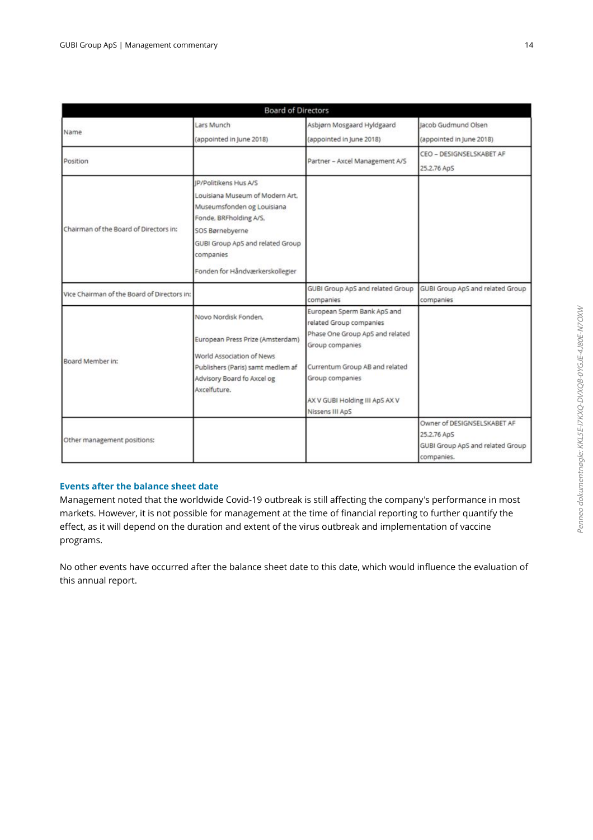|                                             | <b>Board of Directors</b>                                                                                                                                                                                               |                                                                                                                                                                                                     |                                                                                              |
|---------------------------------------------|-------------------------------------------------------------------------------------------------------------------------------------------------------------------------------------------------------------------------|-----------------------------------------------------------------------------------------------------------------------------------------------------------------------------------------------------|----------------------------------------------------------------------------------------------|
| Name                                        | Lars Munch<br>(appointed in June 2018)                                                                                                                                                                                  | Asbjørn Mosgaard Hyldgaard<br>(appointed in June 2018)                                                                                                                                              | lacob Gudmund Olsen<br>(appointed in June 2018)                                              |
| Position                                    |                                                                                                                                                                                                                         | Partner - Axcel Management A/S                                                                                                                                                                      | CEO - DESIGNSELSKABET AF<br>25.2.76 ApS                                                      |
| Chairman of the Board of Directors in:      | IP/Politikens Hus A/S<br>Louisiana Museum of Modern Art.<br>Museumsfonden og Louisiana<br>Fonde, BRFholding A/S,<br>SOS Børnebyerne<br>GUBI Group ApS and related Group<br>companies<br>Fonden for Håndværkerskollegier |                                                                                                                                                                                                     |                                                                                              |
| Vice Chairman of the Board of Directors in: |                                                                                                                                                                                                                         | GUBI Group ApS and related Group<br>companies                                                                                                                                                       | GUBI Group ApS and related Group<br>companies                                                |
| Board Member in:                            | Novo Nordisk Fonden.<br>European Press Prize (Amsterdam)<br>World Association of News<br>Publishers (Paris) samt medlem af<br>Advisory Board fo Axcel og<br>Axcelfuture.                                                | European Sperm Bank ApS and<br>related Group companies<br>Phase One Group ApS and related<br>Group companies<br>Currentum Group AB and related<br>Group companies<br>AX V GUBI Holding III ApS AX V |                                                                                              |
| Other management positions:                 |                                                                                                                                                                                                                         | Nissens III ApS                                                                                                                                                                                     | Owner of DESIGNSELSKABET AF<br>25.2.76 ApS<br>GUBI Group ApS and related Group<br>companies. |

### **Events after the balance sheet date**

Management noted that the worldwide Covid-19 outbreak is still affecting the company's performance in most markets. However, it is not possible for management at the time of financial reporting to further quantify the effect, as it will depend on the duration and extent of the virus outbreak and implementation of vaccine programs.

 No other events have occurred after the balance sheet date to this date, which would influence the evaluation of this annual report.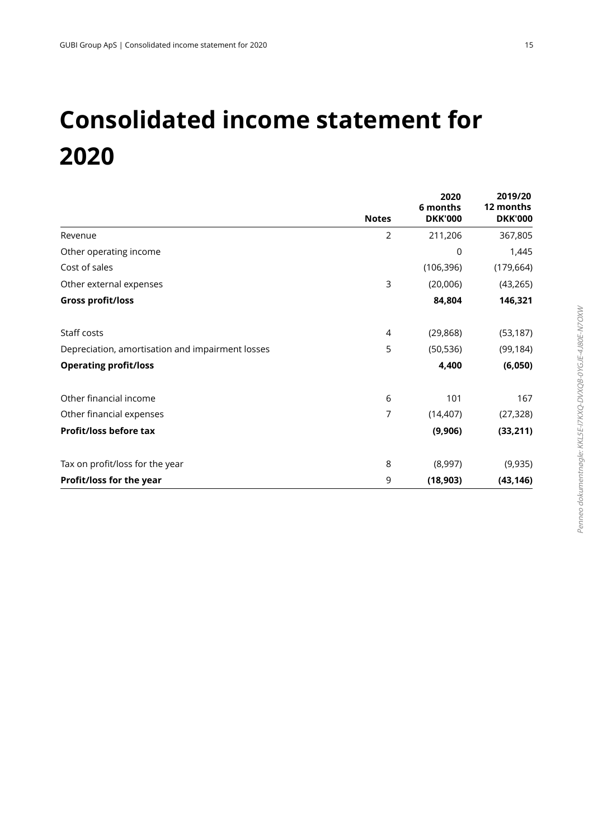## **Consolidated income statement for 2020**

|                                                  |                | 2020<br>6 months | 2019/20<br>12 months |
|--------------------------------------------------|----------------|------------------|----------------------|
|                                                  | <b>Notes</b>   | <b>DKK'000</b>   | <b>DKK'000</b>       |
| Revenue                                          | $\overline{2}$ | 211,206          | 367,805              |
| Other operating income                           |                | 0                | 1,445                |
| Cost of sales                                    |                | (106, 396)       | (179, 664)           |
| Other external expenses                          | 3              | (20,006)         | (43, 265)            |
| <b>Gross profit/loss</b>                         |                | 84,804           | 146,321              |
| Staff costs                                      | 4              | (29, 868)        | (53, 187)            |
| Depreciation, amortisation and impairment losses | 5              | (50, 536)        | (99, 184)            |
| <b>Operating profit/loss</b>                     |                | 4,400            | (6,050)              |
| Other financial income                           | 6              | 101              | 167                  |
| Other financial expenses                         | 7              | (14, 407)        | (27, 328)            |
| Profit/loss before tax                           |                | (9,906)          | (33, 211)            |
| Tax on profit/loss for the year                  | 8              | (8,997)          | (9,935)              |
| Profit/loss for the year                         | 9              | (18, 903)        | (43, 146)            |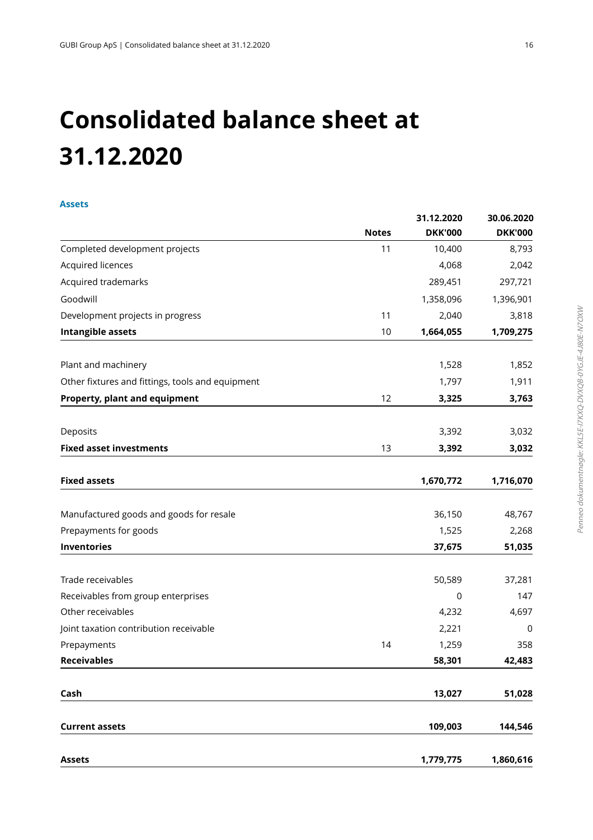## **Consolidated balance sheet at 31.12.2020**

### **Assets**

|                                                  | <b>Notes</b> | 31.12.2020<br><b>DKK'000</b> | 30.06.2020<br><b>DKK'000</b> |
|--------------------------------------------------|--------------|------------------------------|------------------------------|
| Completed development projects                   | 11           | 10,400                       | 8,793                        |
| Acquired licences                                |              | 4,068                        | 2,042                        |
| Acquired trademarks                              |              | 289,451                      | 297,721                      |
| Goodwill                                         |              | 1,358,096                    | 1,396,901                    |
| Development projects in progress                 | 11           | 2,040                        | 3,818                        |
| <b>Intangible assets</b>                         | 10           | 1,664,055                    | 1,709,275                    |
| Plant and machinery                              |              | 1,528                        | 1,852                        |
| Other fixtures and fittings, tools and equipment |              | 1,797                        | 1,911                        |
| Property, plant and equipment                    | 12           | 3,325                        | 3,763                        |
| Deposits                                         |              | 3,392                        | 3,032                        |
| <b>Fixed asset investments</b>                   | 13           | 3,392                        | 3,032                        |
|                                                  |              |                              |                              |
| <b>Fixed assets</b>                              |              | 1,670,772                    | 1,716,070                    |
| Manufactured goods and goods for resale          |              | 36,150                       | 48,767                       |
| Prepayments for goods                            |              | 1,525                        | 2,268                        |
| <b>Inventories</b>                               |              | 37,675                       | 51,035                       |
| Trade receivables                                |              | 50,589                       | 37,281                       |
| Receivables from group enterprises               |              | $\mathbf 0$                  | 147                          |
| Other receivables                                |              | 4,232                        | 4,697                        |
| Joint taxation contribution receivable           |              | 2,221                        | 0                            |
| Prepayments                                      | 14           | 1,259                        | 358                          |
| <b>Receivables</b>                               |              | 58,301                       | 42,483                       |
| Cash                                             |              | 13,027                       | 51,028                       |
| <b>Current assets</b>                            |              | 109,003                      | 144,546                      |
| <b>Assets</b>                                    |              | 1,779,775                    | 1,860,616                    |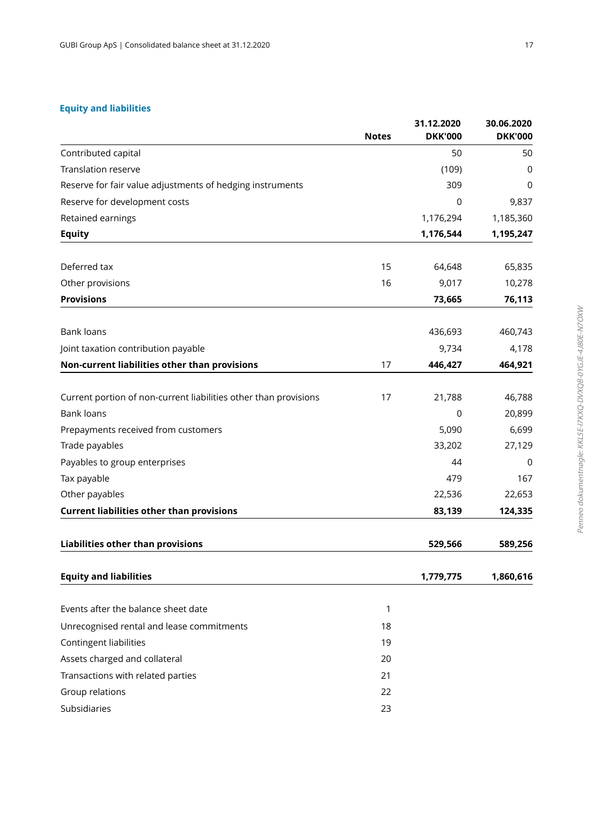### **Equity and liabilities**

|                                                                  | <b>Notes</b> | 31.12.2020<br><b>DKK'000</b> | 30.06.2020<br><b>DKK'000</b> |
|------------------------------------------------------------------|--------------|------------------------------|------------------------------|
| Contributed capital                                              |              | 50                           | 50                           |
| <b>Translation reserve</b>                                       |              | (109)                        | $\mathbf 0$                  |
| Reserve for fair value adjustments of hedging instruments        |              | 309                          | $\mathbf 0$                  |
| Reserve for development costs                                    |              | 0                            | 9,837                        |
| Retained earnings                                                |              | 1,176,294                    | 1,185,360                    |
| <b>Equity</b>                                                    |              | 1,176,544                    | 1,195,247                    |
| Deferred tax                                                     | 15           | 64,648                       | 65,835                       |
| Other provisions                                                 | 16           | 9,017                        | 10,278                       |
| <b>Provisions</b>                                                |              | 73,665                       | 76,113                       |
| <b>Bank loans</b>                                                |              | 436,693                      | 460,743                      |
| Joint taxation contribution payable                              |              | 9,734                        | 4,178                        |
| Non-current liabilities other than provisions                    | 17           | 446,427                      | 464,921                      |
| Current portion of non-current liabilities other than provisions | 17           | 21,788                       | 46,788                       |
| <b>Bank loans</b>                                                |              | 0                            | 20,899                       |
| Prepayments received from customers                              |              | 5,090                        | 6,699                        |
| Trade payables                                                   |              | 33,202                       | 27,129                       |
| Payables to group enterprises                                    |              | 44                           | 0                            |
| Tax payable                                                      |              | 479                          | 167                          |
| Other payables                                                   |              | 22,536                       | 22,653                       |
| <b>Current liabilities other than provisions</b>                 |              | 83,139                       | 124,335                      |
| <b>Liabilities other than provisions</b>                         |              | 529,566                      | 589,256                      |
| <b>Equity and liabilities</b>                                    |              | 1,779,775                    | 1,860,616                    |
| Events after the balance sheet date                              | 1            |                              |                              |
| Unrecognised rental and lease commitments                        | 18           |                              |                              |
| Contingent liabilities                                           | 19           |                              |                              |
| Assets charged and collateral                                    | 20           |                              |                              |
| Transactions with related parties                                | 21           |                              |                              |
| Group relations                                                  | 22           |                              |                              |
| Subsidiaries                                                     | 23           |                              |                              |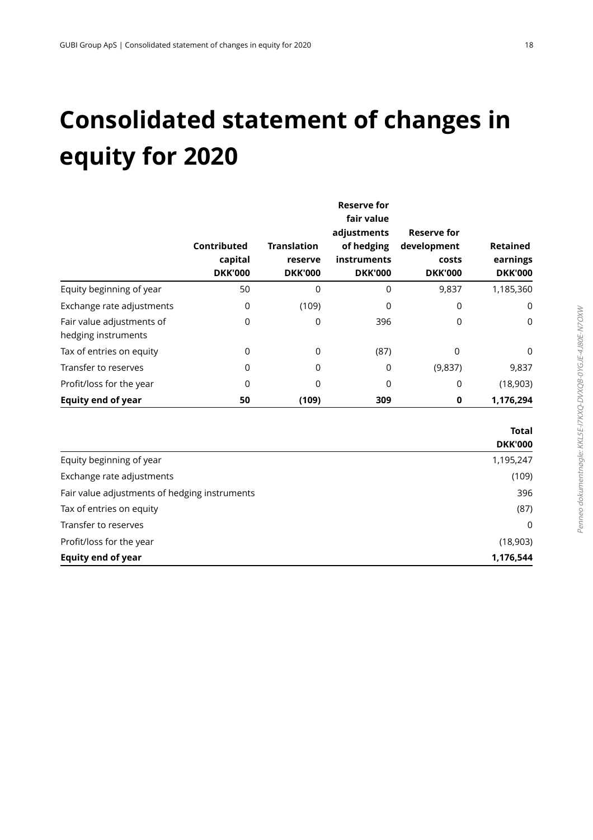## **Consolidated statement of changes in equity for 2020**

|                                                  | Contributed<br>capital<br><b>DKK'000</b> | <b>Translation</b><br>reserve<br><b>DKK'000</b> | <b>Reserve for</b><br>fair value<br>adjustments<br>of hedging<br>instruments<br><b>DKK'000</b> | <b>Reserve for</b><br>development<br>costs<br><b>DKK'000</b> | Retained<br>earnings<br><b>DKK'000</b> |
|--------------------------------------------------|------------------------------------------|-------------------------------------------------|------------------------------------------------------------------------------------------------|--------------------------------------------------------------|----------------------------------------|
| Equity beginning of year                         | 50                                       | $\Omega$                                        | 0                                                                                              | 9,837                                                        | 1,185,360                              |
| Exchange rate adjustments                        | 0                                        | (109)                                           | 0                                                                                              | 0                                                            | 0                                      |
| Fair value adjustments of<br>hedging instruments | 0                                        | 0                                               | 396                                                                                            | 0                                                            | $\mathbf 0$                            |
| Tax of entries on equity                         | 0                                        | $\mathbf 0$                                     | (87)                                                                                           | 0                                                            | $\mathbf 0$                            |
| Transfer to reserves                             | 0                                        | 0                                               | 0                                                                                              | (9,837)                                                      | 9,837                                  |
| Profit/loss for the year                         | 0                                        | $\Omega$                                        | 0                                                                                              | 0                                                            | (18,903)                               |
| <b>Equity end of year</b>                        | 50                                       | (109)                                           | 309                                                                                            | 0                                                            | 1,176,294                              |
|                                                  |                                          |                                                 |                                                                                                |                                                              | <b>Total</b><br><b>DKK'000</b>         |
| Equity beginning of year                         |                                          |                                                 |                                                                                                |                                                              | 1,195,247                              |
| Exchange rate adjustments                        |                                          |                                                 |                                                                                                |                                                              | (109)                                  |
| Fair value adjustments of hedging instruments    |                                          |                                                 |                                                                                                |                                                              | 396                                    |

Tax of entries on equity (87) Transfer to reserves and the contract of the contract of the contract of the contract of the contract of the contract of the contract of the contract of the contract of the contract of the contract of the contract of the c Profit/loss for the year (18,903) **Equity end of year 1,176,544**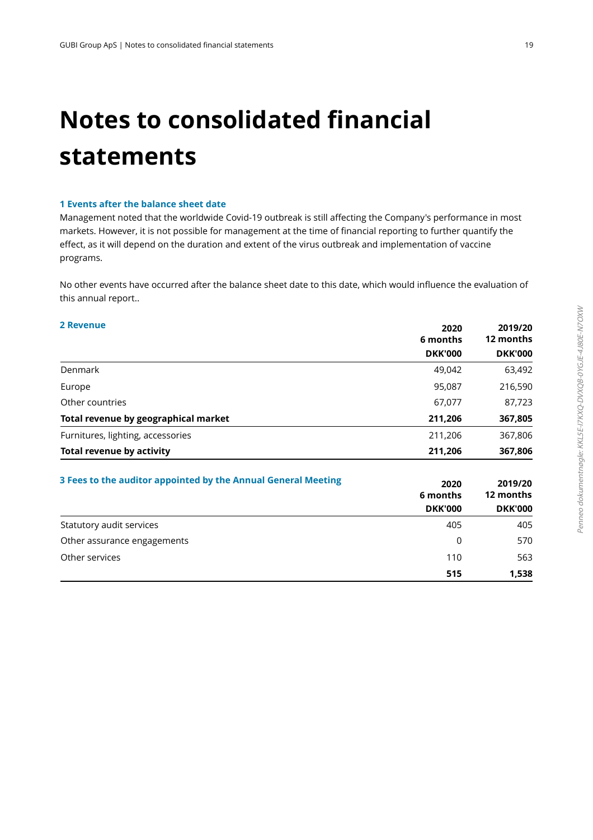## **Notes to consolidated financial statements**

### **1 Events after the balance sheet date**

Management noted that the worldwide Covid-19 outbreak is still affecting the Company's performance in most markets. However, it is not possible for management at the time of financial reporting to further quantify the effect, as it will depend on the duration and extent of the virus outbreak and implementation of vaccine programs.

 No other events have occurred after the balance sheet date to this date, which would influence the evaluation of this annual report..

### **2** Revenue

| 2020<br>6 months |                    |
|------------------|--------------------|
| <b>DKK'000</b>   | <b>DKK'000</b>     |
| 49,042           | 63,492             |
| 95,087           | 216,590            |
| 67,077           | 87,723             |
| 211,206          | 367,805            |
|                  | 367,806            |
|                  | 367,806            |
|                  | 211,206<br>211,206 |

| 3 Fees to the auditor appointed by the Annual General Meeting | 2020<br>6 months | 2019/20<br>12 months |
|---------------------------------------------------------------|------------------|----------------------|
|                                                               | <b>DKK'000</b>   | <b>DKK'000</b>       |
| Statutory audit services                                      | 405              | 405                  |
| Other assurance engagements                                   | 0                | 570                  |
| Other services                                                | 110              | 563                  |
|                                                               | 515              | 1,538                |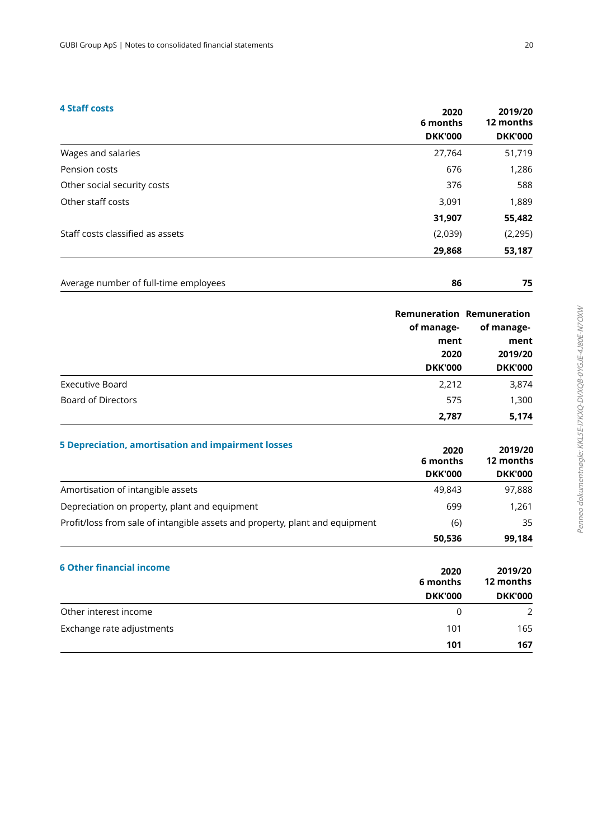### **4 Staff costs**

| 4 Staff costs                    | 2020<br>6 months | 2019/20<br>12 months |
|----------------------------------|------------------|----------------------|
|                                  | <b>DKK'000</b>   | <b>DKK'000</b>       |
| Wages and salaries               | 27,764           | 51,719               |
| Pension costs                    | 676              | 1,286                |
| Other social security costs      | 376              | 588                  |
| Other staff costs                | 3,091            | 1,889                |
|                                  | 31,907           | 55,482               |
| Staff costs classified as assets | (2,039)          | (2, 295)             |
|                                  | 29,868           | 53,187               |

| Average number of full-time employees |  |
|---------------------------------------|--|
|                                       |  |

|                        |                | <b>Remuneration Remuneration</b> |  |
|------------------------|----------------|----------------------------------|--|
|                        | of manage-     | of manage-                       |  |
|                        | ment           | ment                             |  |
|                        | 2020           | 2019/20                          |  |
|                        | <b>DKK'000</b> | <b>DKK'000</b>                   |  |
| <b>Executive Board</b> | 2,212          | 3,874                            |  |
| Board of Directors     | 575            | 1,300                            |  |
|                        | 2,787          | 5,174                            |  |

| 5 Depreciation, amortisation and impairment losses                           | 2020<br>6 months<br><b>DKK'000</b> | 2019/20<br>12 months<br><b>DKK'000</b> |
|------------------------------------------------------------------------------|------------------------------------|----------------------------------------|
| Amortisation of intangible assets                                            | 49.843                             | 97,888                                 |
| Depreciation on property, plant and equipment                                | 699                                | 1.261                                  |
| Profit/loss from sale of intangible assets and property, plant and equipment | (6)                                | 35                                     |
|                                                                              | 50,536                             | 99,184                                 |

| <b>6 Other financial income</b> | 2020<br>6 months<br><b>DKK'000</b> | 2019/20<br>12 months<br><b>DKK'000</b> |
|---------------------------------|------------------------------------|----------------------------------------|
| Other interest income           | $\Omega$                           | $\mathcal{P}$                          |
| Exchange rate adjustments       | 101                                | 165                                    |
|                                 | 101                                | 167                                    |

**2019/20**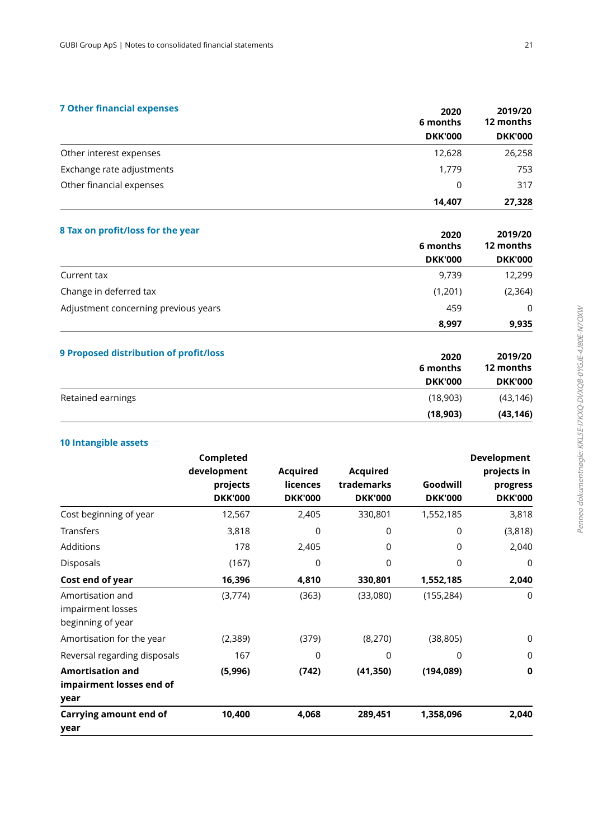### **7 Other financial expenses**

|                           | 6 months       | 12 months<br><b>DKK'000</b> |
|---------------------------|----------------|-----------------------------|
|                           | <b>DKK'000</b> |                             |
| Other interest expenses   | 12,628         | 26,258                      |
| Exchange rate adjustments | 1.779          | 753                         |
| Other financial expenses  | $\Omega$       | 317                         |
|                           | 14.407         | 27,328                      |

| 8 Tax on profit/loss for the year      | 2020<br>6 months | 2019/20<br>12 months |
|----------------------------------------|------------------|----------------------|
|                                        | <b>DKK'000</b>   | <b>DKK'000</b>       |
| Current tax                            | 9,739            | 12,299               |
| Change in deferred tax                 | (1,201)          | (2, 364)             |
| Adjustment concerning previous years   | 459              | $\Omega$             |
|                                        | 8,997            | 9,935                |
| 9 Proposed distribution of profit/loss | 2020<br>6 months | 2019/20<br>12 months |

| 6 months<br><b>DKK'000</b> | 12 months<br><b>DKK'000</b> |
|----------------------------|-----------------------------|
|                            |                             |
| (18,903)                   | (43, 146)                   |
|                            |                             |

### **10 Intangible assets**

|                                                             | Completed<br>development<br>projects<br><b>DKK'000</b> | <b>Acquired</b><br><b>licences</b><br><b>DKK'000</b> | <b>Acquired</b><br>trademarks<br><b>DKK'000</b> | Goodwill<br><b>DKK'000</b> | Development<br>projects in<br>progress<br><b>DKK'000</b> |
|-------------------------------------------------------------|--------------------------------------------------------|------------------------------------------------------|-------------------------------------------------|----------------------------|----------------------------------------------------------|
| Cost beginning of year                                      | 12,567                                                 | 2,405                                                | 330,801                                         | 1,552,185                  | 3,818                                                    |
| Transfers                                                   | 3,818                                                  | 0                                                    | 0                                               | 0                          | (3,818)                                                  |
| Additions                                                   | 178                                                    | 2,405                                                | $\Omega$                                        | 0                          | 2,040                                                    |
| Disposals                                                   | (167)                                                  | $\Omega$                                             | $\Omega$                                        | $\Omega$                   | 0                                                        |
| Cost end of year                                            | 16,396                                                 | 4,810                                                | 330,801                                         | 1,552,185                  | 2,040                                                    |
| Amortisation and<br>impairment losses<br>beginning of year  | (3,774)                                                | (363)                                                | (33,080)                                        | (155, 284)                 | 0                                                        |
| Amortisation for the year                                   | (2,389)                                                | (379)                                                | (8,270)                                         | (38, 805)                  | 0                                                        |
| Reversal regarding disposals                                | 167                                                    | $\Omega$                                             | 0                                               | $\Omega$                   | $\mathbf 0$                                              |
| <b>Amortisation and</b><br>impairment losses end of<br>year | (5,996)                                                | (742)                                                | (41, 350)                                       | (194, 089)                 | 0                                                        |
| <b>Carrying amount end of</b><br>year                       | 10,400                                                 | 4,068                                                | 289,451                                         | 1,358,096                  | 2,040                                                    |

**2019/20** 

**2020**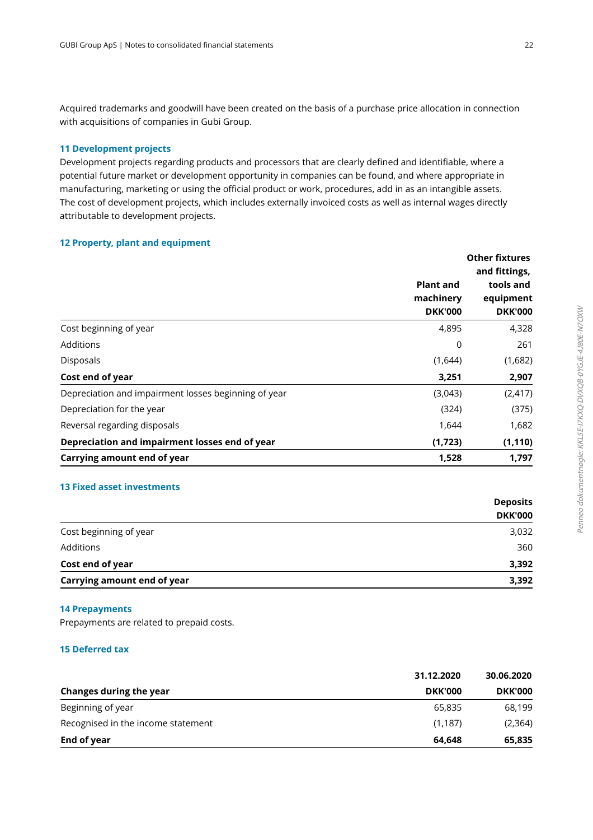Acquired trademarks and goodwill have been created on the basis of a purchase price allocation in connection with acquisitions of companies in Gubi Group.

### **11 Development projects**

Development projects regarding products and processors that are clearly defined and identifiable, where a potential future market or development opportunity in companies can be found, and where appropriate in manufacturing, marketing or using the official product or work, procedures, add in as an intangible assets. The cost of development projects, which includes externally invoiced costs as well as internal wages directly attributable to development projects.

### **12 Property, plant and equipment**

|                                                      |                                                 | <b>Other fixtures</b><br>and fittings,   |  |
|------------------------------------------------------|-------------------------------------------------|------------------------------------------|--|
|                                                      | <b>Plant and</b><br>machinery<br><b>DKK'000</b> | tools and<br>equipment<br><b>DKK'000</b> |  |
| Cost beginning of year                               | 4,895                                           | 4,328                                    |  |
| <b>Additions</b>                                     | 0                                               | 261                                      |  |
| <b>Disposals</b>                                     | (1,644)                                         | (1,682)                                  |  |
| Cost end of year                                     | 3,251                                           | 2,907                                    |  |
| Depreciation and impairment losses beginning of year | (3,043)                                         | (2, 417)                                 |  |
| Depreciation for the year                            | (324)                                           | (375)                                    |  |
| Reversal regarding disposals                         | 1,644                                           | 1,682                                    |  |
| Depreciation and impairment losses end of year       | (1,723)                                         | (1, 110)                                 |  |
| Carrying amount end of year                          | 1,528                                           | 1,797                                    |  |

### **13 Fixed asset investments**

| Carrying amount end of year | 3,392          |
|-----------------------------|----------------|
| Cost end of year            | 3,392          |
| Additions                   | 360            |
| Cost beginning of year      | 3,032          |
|                             | <b>DKK'000</b> |
|                             | Deposits       |

### **14 Prepayments**

Prepayments are related to prepaid costs.

### **15 Deferred tax**

|                                    | 31.12.2020     | 30.06.2020     |  |
|------------------------------------|----------------|----------------|--|
| Changes during the year            | <b>DKK'000</b> | <b>DKK'000</b> |  |
| Beginning of year                  | 65,835         | 68,199         |  |
| Recognised in the income statement | (1, 187)       | (2,364)        |  |
| End of year                        | 64.648         | 65,835         |  |

**Deposits**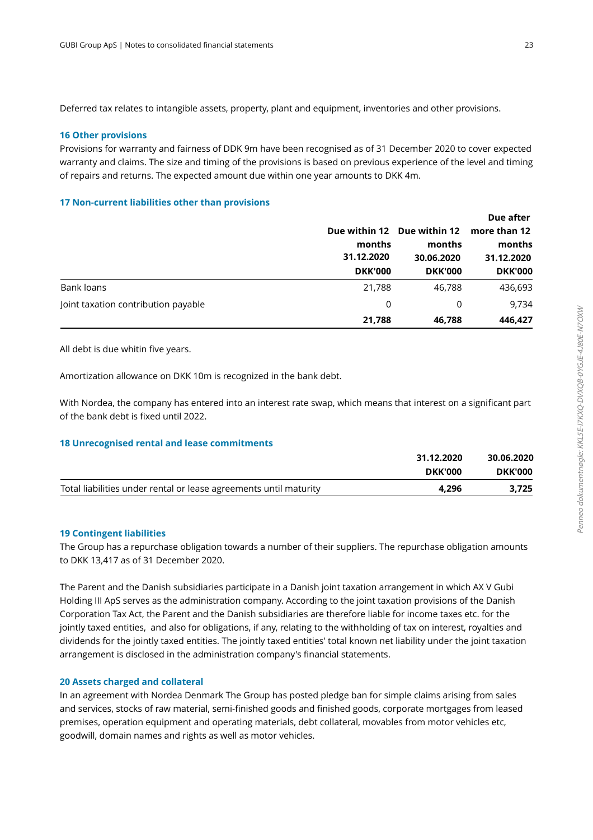Deferred tax relates to intangible assets, property, plant and equipment, inventories and other provisions.

### **16 Other provisions**

Provisions for warranty and fairness of DDK 9m have been recognised as of 31 December 2020 to cover expected warranty and claims. The size and timing of the provisions is based on previous experience of the level and timing of repairs and returns. The expected amount due within one year amounts to DKK 4m.

### **17 Non-current liabilities other than provisions**

|                                                                                                                                                                                                                  | Due within 12 Due within 12<br>months<br>31.12.2020<br><b>DKK'000</b> | months<br>30.06.2020<br><b>DKK'000</b> | Due after<br>more than 12<br>months<br>31.12.2020<br><b>DKK'000</b> |
|------------------------------------------------------------------------------------------------------------------------------------------------------------------------------------------------------------------|-----------------------------------------------------------------------|----------------------------------------|---------------------------------------------------------------------|
| <b>Bank loans</b>                                                                                                                                                                                                | 21,788                                                                | 46,788                                 | 436,693                                                             |
| Joint taxation contribution payable                                                                                                                                                                              | 0                                                                     | 0                                      | 9,734                                                               |
|                                                                                                                                                                                                                  | 21,788                                                                | 46,788                                 | 446,427                                                             |
| All debt is due whitin five years.<br>Amortization allowance on DKK 10m is recognized in the bank debt.                                                                                                          |                                                                       |                                        |                                                                     |
| With Nordea, the company has entered into an interest rate swap, which means that interest on a significant part<br>of the bank debt is fixed until 2022.<br><b>18 Unrecognised rental and lease commitments</b> |                                                                       |                                        |                                                                     |
|                                                                                                                                                                                                                  |                                                                       | 31.12.2020                             | 30.06.2020                                                          |

### All debt is due whitin five years.

### **18 Unrecognised rental and lease commitments**

|                                                                   | 31.12.2020     | 30.06.2020     |
|-------------------------------------------------------------------|----------------|----------------|
|                                                                   | <b>DKK'000</b> | <b>DKK'000</b> |
| Total liabilities under rental or lease agreements until maturity | 4.296          | 3.725          |

### **19 Contingent liabilities**

The Group has a repurchase obligation towards a number of their suppliers. The repurchase obligation amounts to DKK 13,417 as of 31 December 2020.

The Parent and the Danish subsidiaries participate in a Danish joint taxation arrangement in which AX V Gubi Holding III ApS serves as the administration company. According to the joint taxation provisions of the Danish Corporation Tax Act, the Parent and the Danish subsidiaries are therefore liable for income taxes etc. for the jointly taxed entities, and also for obligations, if any, relating to the withholding of tax on interest, royalties and dividends for the jointly taxed entities. The jointly taxed entities' total known net liability under the joint taxation arrangement is disclosed in the administration company's financial statements.

### **20 Assets charged and collateral**

In an agreement with Nordea Denmark The Group has posted pledge ban for simple claims arising from sales and services, stocks of raw material, semi-finished goods and finished goods, corporate mortgages from leased premises, operation equipment and operating materials, debt collateral, movables from motor vehicles etc, goodwill, domain names and rights as well as motor vehicles.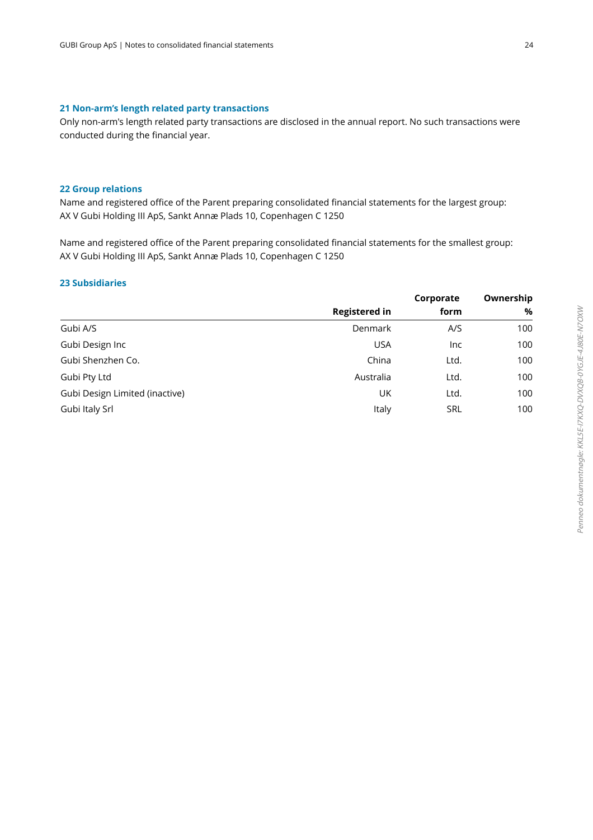### **21 Non-arm's length related party transactions**

Only non-arm's length related party transactions are disclosed in the annual report. No such transactions were conducted during the financial year.

### **22 Group relations**

Name and registered office of the Parent preparing consolidated financial statements for the largest group: AX V Gubi Holding III ApS, Sankt Annæ Plads 10, Copenhagen C 1250

Name and registered office of the Parent preparing consolidated financial statements for the smallest group: AX V Gubi Holding III ApS, Sankt Annæ Plads 10, Copenhagen C 1250

### **23 Subsidiaries**

|                                |                      | Corporate  | Ownership |
|--------------------------------|----------------------|------------|-----------|
|                                | <b>Registered in</b> | form       | %         |
| Gubi A/S                       | Denmark              | A/S        | 100       |
| Gubi Design Inc                | <b>USA</b>           | <b>Inc</b> | 100       |
| Gubi Shenzhen Co.              | China                | Ltd.       | 100       |
| Gubi Pty Ltd                   | Australia            | Ltd.       | 100       |
| Gubi Design Limited (inactive) | UK                   | Ltd.       | 100       |
| Gubi Italy Srl                 | Italy                | <b>SRL</b> | 100       |
|                                |                      |            |           |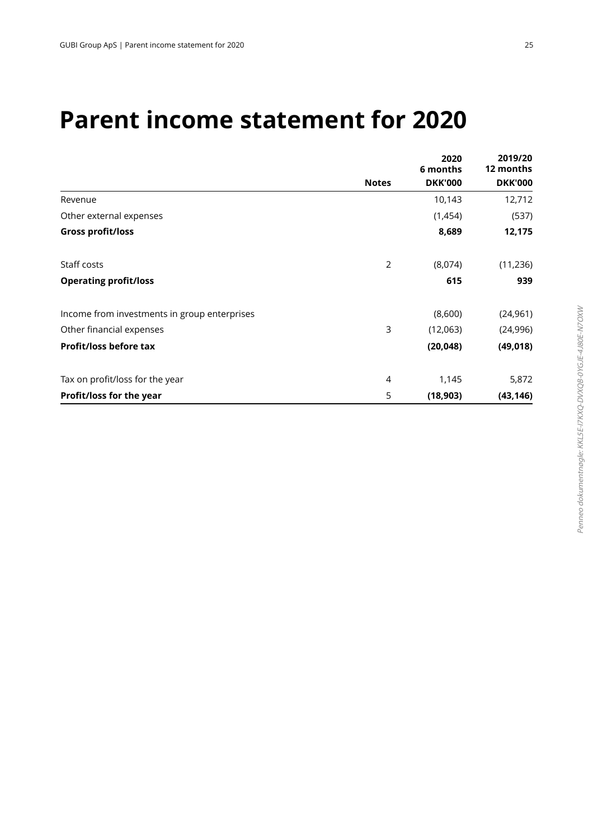### **Parent income statement for 2020**

|                                              | 2020<br>6 months |                | 2019/20<br>12 months |
|----------------------------------------------|------------------|----------------|----------------------|
|                                              | <b>Notes</b>     | <b>DKK'000</b> | <b>DKK'000</b>       |
| Revenue                                      |                  | 10,143         | 12,712               |
| Other external expenses                      |                  | (1,454)        | (537)                |
| <b>Gross profit/loss</b>                     |                  | 8,689          | 12,175               |
| Staff costs                                  | 2                | (8,074)        | (11, 236)            |
| <b>Operating profit/loss</b>                 |                  | 615            | 939                  |
| Income from investments in group enterprises |                  | (8,600)        | (24, 961)            |
| Other financial expenses                     | 3                | (12,063)       | (24, 996)            |
| <b>Profit/loss before tax</b>                |                  | (20, 048)      | (49, 018)            |
| Tax on profit/loss for the year              | 4                | 1,145          | 5,872                |
| Profit/loss for the year                     | 5                | (18,903)       | (43, 146)            |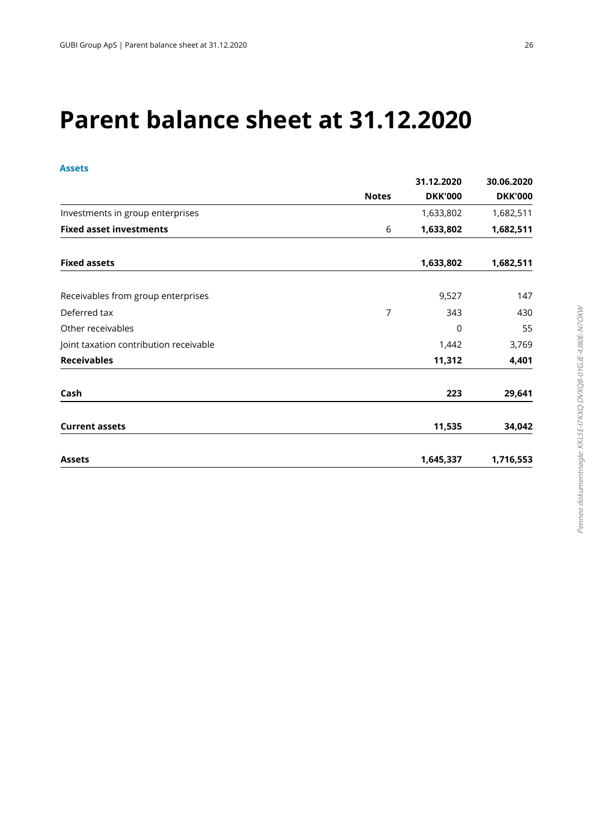## **Parent balance sheet at 31.12.2020**

### **Assets**

|                                        |              | 31.12.2020     | 30.06.2020     |
|----------------------------------------|--------------|----------------|----------------|
|                                        | <b>Notes</b> | <b>DKK'000</b> | <b>DKK'000</b> |
| Investments in group enterprises       |              | 1,633,802      | 1,682,511      |
| <b>Fixed asset investments</b>         | 6            | 1,633,802      | 1,682,511      |
| <b>Fixed assets</b>                    |              | 1,633,802      | 1,682,511      |
| Receivables from group enterprises     |              | 9,527          | 147            |
| Deferred tax                           | 7            | 343            | 430            |
| Other receivables                      |              | $\Omega$       | 55             |
| Joint taxation contribution receivable |              | 1,442          | 3,769          |
| <b>Receivables</b>                     |              | 11,312         | 4,401          |
| Cash                                   |              | 223            | 29,641         |
| <b>Current assets</b>                  |              | 11,535         | 34,042         |
| <b>Assets</b>                          |              | 1,645,337      | 1,716,553      |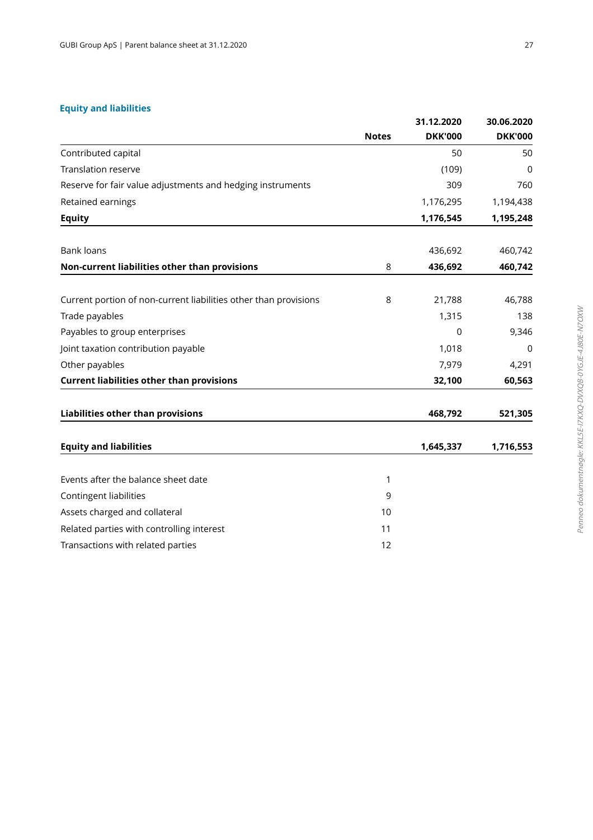### **Equity and liabilities**

|                                                                  |              | 31.12.2020     | 30.06.2020     |
|------------------------------------------------------------------|--------------|----------------|----------------|
|                                                                  | <b>Notes</b> | <b>DKK'000</b> | <b>DKK'000</b> |
| Contributed capital                                              |              | 50             | 50             |
| <b>Translation reserve</b>                                       |              | (109)          | 0              |
| Reserve for fair value adjustments and hedging instruments       |              | 309            | 760            |
| Retained earnings                                                |              | 1,176,295      | 1,194,438      |
| <b>Equity</b>                                                    |              | 1,176,545      | 1,195,248      |
| <b>Bank loans</b>                                                |              | 436,692        | 460,742        |
| Non-current liabilities other than provisions                    | 8            | 436,692        | 460,742        |
| Current portion of non-current liabilities other than provisions | 8            | 21,788         | 46,788         |
| Trade payables                                                   |              | 1,315          | 138            |
| Payables to group enterprises                                    |              | 0              | 9,346          |
| Joint taxation contribution payable                              |              | 1,018          | 0              |
| Other payables                                                   |              | 7,979          | 4,291          |
| <b>Current liabilities other than provisions</b>                 |              | 32,100         | 60,563         |
| Liabilities other than provisions                                |              | 468,792        | 521,305        |
| <b>Equity and liabilities</b>                                    |              | 1,645,337      | 1,716,553      |
| Events after the balance sheet date                              | 1            |                |                |
| Contingent liabilities                                           | 9            |                |                |
| Assets charged and collateral                                    | 10           |                |                |
| Related parties with controlling interest                        | 11           |                |                |
| Transactions with related parties                                | 12           |                |                |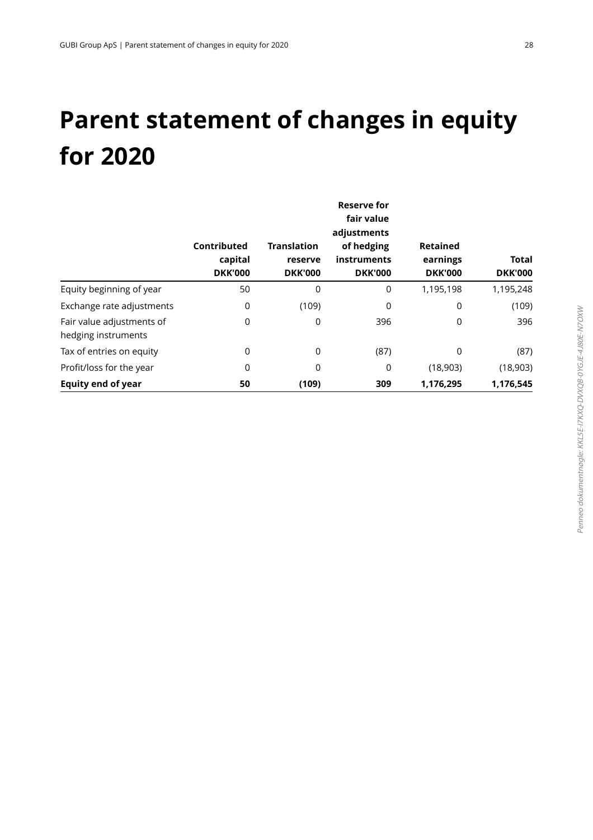## **Parent statement of changes in equity for 2020**

|                                                  | Contributed<br>capital<br><b>DKK'000</b> | <b>Translation</b><br>reserve<br><b>DKK'000</b> | <b>Reserve for</b><br>fair value<br>adjustments<br>of hedging<br>instruments<br><b>DKK'000</b> | <b>Retained</b><br>earnings<br><b>DKK'000</b> | Total<br><b>DKK'000</b> |
|--------------------------------------------------|------------------------------------------|-------------------------------------------------|------------------------------------------------------------------------------------------------|-----------------------------------------------|-------------------------|
| Equity beginning of year                         | 50                                       | 0                                               | 0                                                                                              | 1,195,198                                     | 1,195,248               |
| Exchange rate adjustments                        | 0                                        | (109)                                           | 0                                                                                              | 0                                             | (109)                   |
| Fair value adjustments of<br>hedging instruments | 0                                        | 0                                               | 396                                                                                            | 0                                             | 396                     |
| Tax of entries on equity                         | 0                                        | 0                                               | (87)                                                                                           | 0                                             | (87)                    |
| Profit/loss for the year                         | 0                                        | 0                                               | 0                                                                                              | (18,903)                                      | (18,903)                |
| <b>Equity end of year</b>                        | 50                                       | (109)                                           | 309                                                                                            | 1,176,295                                     | 1,176,545               |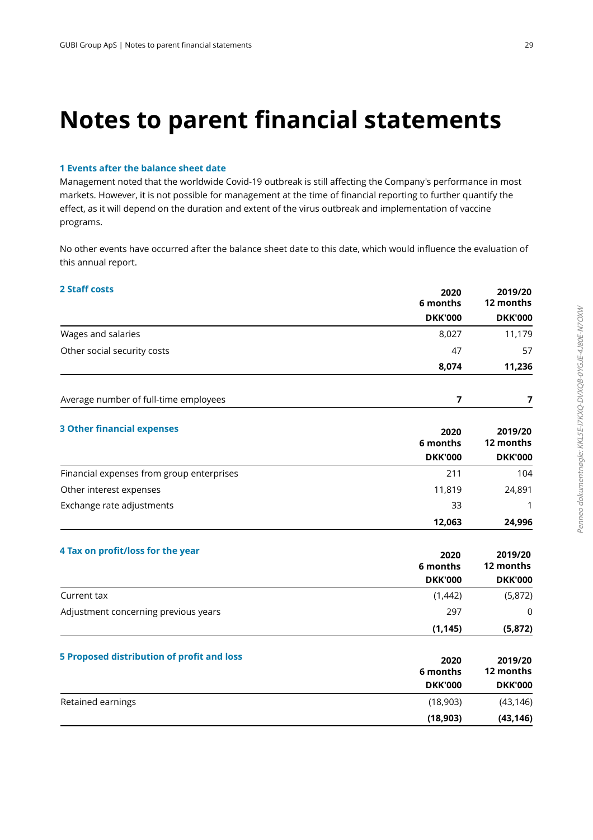## **Notes to parent financial statements**

### **1 Events after the balance sheet date**

Management noted that the worldwide Covid-19 outbreak is still affecting the Company's performance in most markets. However, it is not possible for management at the time of financial reporting to further quantify the effect, as it will depend on the duration and extent of the virus outbreak and implementation of vaccine programs.

 No other events have occurred after the balance sheet date to this date, which would influence the evaluation of this annual report.

### **2 Staff costs**

| <b>DKK'000</b><br>Wages and salaries<br>8,027<br>Other social security costs<br>47<br>8,074<br>7<br>Average number of full-time employees<br>2020<br>6 months<br><b>DKK'000</b><br>Financial expenses from group enterprises<br>211<br>Other interest expenses<br>11,819<br>24,891<br>Exchange rate adjustments<br>33<br>1<br>12,063<br>2020<br>2019/20<br>12 months<br>6 months<br><b>DKK'000</b><br>Current tax<br>(1,442)<br>297<br>Adjustment concerning previous years<br>0<br>(1, 145)<br>2020<br>6 months<br><b>DKK'000</b><br>Retained earnings<br>(18,903)<br>(18, 903) | <b>2 Staff costs</b>                              | 2020<br>6 months | 2019/20<br>12 months                   |
|----------------------------------------------------------------------------------------------------------------------------------------------------------------------------------------------------------------------------------------------------------------------------------------------------------------------------------------------------------------------------------------------------------------------------------------------------------------------------------------------------------------------------------------------------------------------------------|---------------------------------------------------|------------------|----------------------------------------|
|                                                                                                                                                                                                                                                                                                                                                                                                                                                                                                                                                                                  |                                                   |                  | <b>DKK'000</b>                         |
|                                                                                                                                                                                                                                                                                                                                                                                                                                                                                                                                                                                  |                                                   |                  | 11,179                                 |
|                                                                                                                                                                                                                                                                                                                                                                                                                                                                                                                                                                                  |                                                   |                  | 57                                     |
|                                                                                                                                                                                                                                                                                                                                                                                                                                                                                                                                                                                  |                                                   |                  | 11,236                                 |
|                                                                                                                                                                                                                                                                                                                                                                                                                                                                                                                                                                                  |                                                   |                  | 7                                      |
|                                                                                                                                                                                                                                                                                                                                                                                                                                                                                                                                                                                  | <b>3 Other financial expenses</b>                 |                  | 2019/20<br>12 months<br><b>DKK'000</b> |
|                                                                                                                                                                                                                                                                                                                                                                                                                                                                                                                                                                                  |                                                   |                  | 104                                    |
|                                                                                                                                                                                                                                                                                                                                                                                                                                                                                                                                                                                  |                                                   |                  |                                        |
|                                                                                                                                                                                                                                                                                                                                                                                                                                                                                                                                                                                  |                                                   |                  |                                        |
|                                                                                                                                                                                                                                                                                                                                                                                                                                                                                                                                                                                  |                                                   |                  | 24,996                                 |
|                                                                                                                                                                                                                                                                                                                                                                                                                                                                                                                                                                                  | 4 Tax on profit/loss for the year                 |                  | <b>DKK'000</b>                         |
|                                                                                                                                                                                                                                                                                                                                                                                                                                                                                                                                                                                  |                                                   |                  | (5,872)                                |
|                                                                                                                                                                                                                                                                                                                                                                                                                                                                                                                                                                                  |                                                   |                  |                                        |
|                                                                                                                                                                                                                                                                                                                                                                                                                                                                                                                                                                                  |                                                   |                  | (5, 872)                               |
|                                                                                                                                                                                                                                                                                                                                                                                                                                                                                                                                                                                  | <b>5 Proposed distribution of profit and loss</b> |                  | 2019/20<br>12 months<br><b>DKK'000</b> |
|                                                                                                                                                                                                                                                                                                                                                                                                                                                                                                                                                                                  |                                                   |                  | (43, 146)                              |
|                                                                                                                                                                                                                                                                                                                                                                                                                                                                                                                                                                                  |                                                   |                  | (43, 146)                              |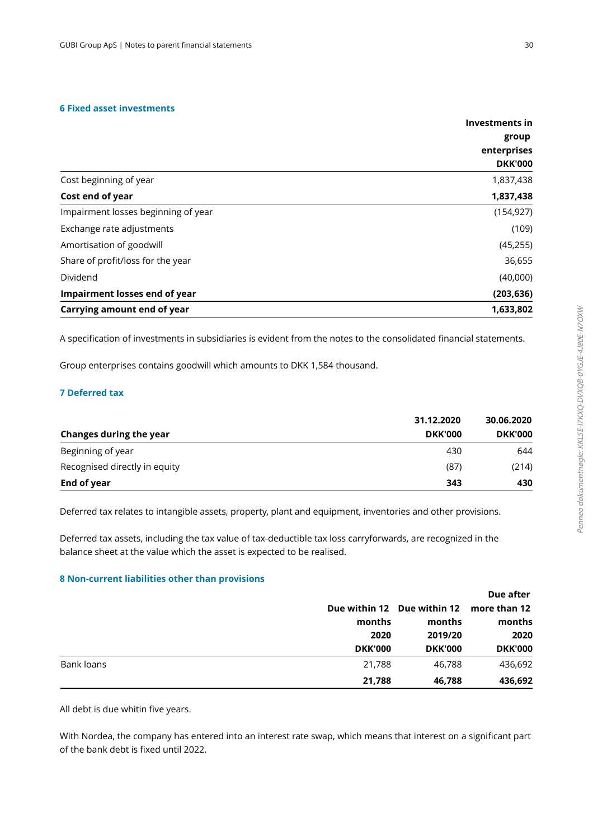### **6 Fixed asset investments**

|                                     | Investments in |
|-------------------------------------|----------------|
|                                     | group          |
|                                     | enterprises    |
|                                     | <b>DKK'000</b> |
| Cost beginning of year              | 1,837,438      |
| Cost end of year                    | 1,837,438      |
| Impairment losses beginning of year | (154, 927)     |
| Exchange rate adjustments           | (109)          |
| Amortisation of goodwill            | (45, 255)      |
| Share of profit/loss for the year   | 36,655         |
| Dividend                            | (40,000)       |
| Impairment losses end of year       | (203, 636)     |
| Carrying amount end of year         | 1,633,802      |

A specification of investments in subsidiaries is evident from the notes to the consolidated financial statements.

Group enterprises contains goodwill which amounts to DKK 1,584 thousand.

### **Deferred tax7**

|                               | 31.12.2020     | 30.06.2020     |  |
|-------------------------------|----------------|----------------|--|
| Changes during the year       | <b>DKK'000</b> | <b>DKK'000</b> |  |
| Beginning of year             | 430            | 644            |  |
| Recognised directly in equity | (87)           | (214)          |  |
| End of year                   | 343            | 430            |  |

Deferred tax relates to intangible assets, property, plant and equipment, inventories and other provisions.

Deferred tax assets, including the tax value of tax-deductible tax loss carryforwards, are recognized in the balance sheet at the value which the asset is expected to be realised.

### **Non-current liabilities other than provisions8**

|            |                |                                          | Due after                        |  |
|------------|----------------|------------------------------------------|----------------------------------|--|
|            |                | Due within 12 Due within 12 more than 12 |                                  |  |
|            | months         | months<br>2019/20<br><b>DKK'000</b>      | months<br>2020<br><b>DKK'000</b> |  |
|            | 2020           |                                          |                                  |  |
|            | <b>DKK'000</b> |                                          |                                  |  |
| Bank loans | 21,788         | 46.788                                   | 436,692                          |  |
|            | 21,788         | 46,788                                   | 436,692                          |  |

All debt is due whitin five years.

 With Nordea, the company has entered into an interest rate swap, which means that interest on a significant part of the bank debt is fixed until 2022.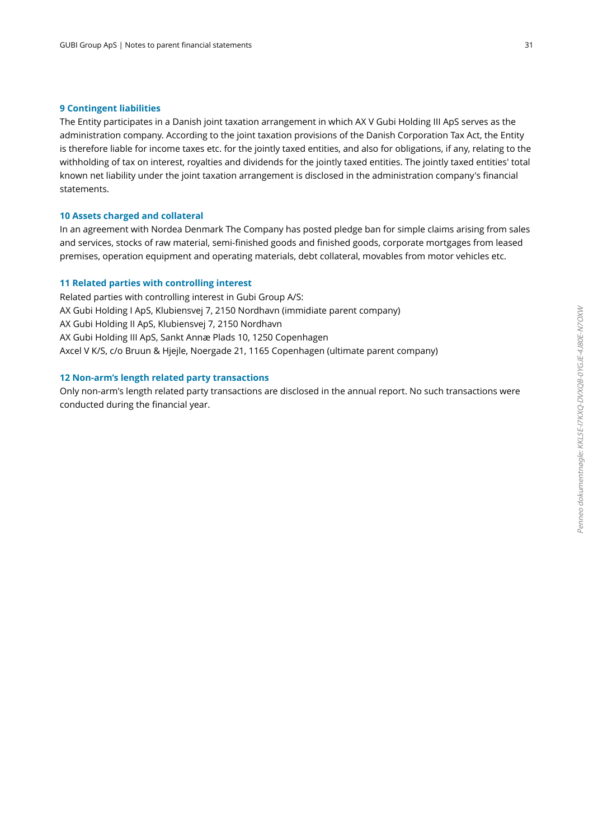#### **9 Contingent liabilities**

The Entity participates in a Danish joint taxation arrangement in which AX V Gubi Holding III ApS serves as the administration company. According to the joint taxation provisions of the Danish Corporation Tax Act, the Entity is therefore liable for income taxes etc. for the jointly taxed entities, and also for obligations, if any, relating to the withholding of tax on interest, royalties and dividends for the jointly taxed entities. The jointly taxed entities' total known net liability under the joint taxation arrangement is disclosed in the administration company's financial statements.

### **10 Assets charged and collateral**

In an agreement with Nordea Denmark The Company has posted pledge ban for simple claims arising from sales and services, stocks of raw material, semi-finished goods and finished goods, corporate mortgages from leased premises, operation equipment and operating materials, debt collateral, movables from motor vehicles etc.

### **11 Related parties with controlling interest**

Related parties with controlling interest in Gubi Group A/S: AX Gubi Holding I ApS, Klubiensvej 7, 2150 Nordhavn (immidiate parent company) AX Gubi Holding II ApS, Klubiensvej 7, 2150 Nordhavn AX Gubi Holding III ApS, Sankt Annæ Plads 10, 1250 Copenhagen Axcel V K/S, c/o Bruun & Hjejle, Noergade 21, 1165 Copenhagen (ultimate parent company)

### **12 Non-arm's length related party transactions**

Only non-arm's length related party transactions are disclosed in the annual report. No such transactions were conducted during the financial year.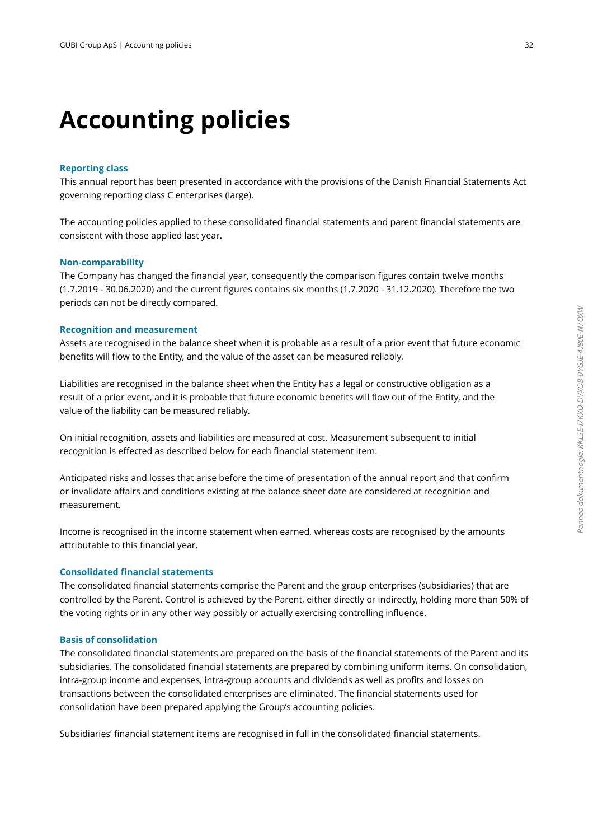### **Accounting policies**

### **Reporting class**

This annual report has been presented in accordance with the provisions of the Danish Financial Statements Act governing reporting class C enterprises (large).

The accounting policies applied to these consolidated financial statements and parent financial statements are consistent with those applied last year.

### **Non-comparability**

The Company has changed the financial year, consequently the comparison figures contain twelve months (1.7.2019 - 30.06.2020) and the current figures contains six months (1.7.2020 - 31.12.2020). Therefore the two periods can not be directly compared.

### **Recognition and measurement**

Assets are recognised in the balance sheet when it is probable as a result of a prior event that future economic benefits will flow to the Entity, and the value of the asset can be measured reliably.

 Liabilities are recognised in the balance sheet when the Entity has a legal or constructive obligation as a result of a prior event, and it is probable that future economic benefits will flow out of the Entity, and the value of the liability can be measured reliably.

 On initial recognition, assets and liabilities are measured at cost. Measurement subsequent to initial recognition is effected as described below for each financial statement item.

 Anticipated risks and losses that arise before the time of presentation of the annual report and that confirm or invalidate affairs and conditions existing at the balance sheet date are considered at recognition and measurement.

 Income is recognised in the income statement when earned, whereas costs are recognised by the amounts attributable to this financial year.

### **Consolidated financial statements**

The consolidated financial statements comprise the Parent and the group enterprises (subsidiaries) that are controlled by the Parent. Control is achieved by the Parent, either directly or indirectly, holding more than 50% of the voting rights or in any other way possibly or actually exercising controlling influence.

### **Basis of consolidation**

The consolidated financial statements are prepared on the basis of the financial statements of the Parent and its subsidiaries. The consolidated financial statements are prepared by combining uniform items. On consolidation, intra-group income and expenses, intra-group accounts and dividends as well as profits and losses on transactions between the consolidated enterprises are eliminated. The financial statements used for consolidation have been prepared applying the Group's accounting policies.

Subsidiaries' financial statement items are recognised in full in the consolidated financial statements.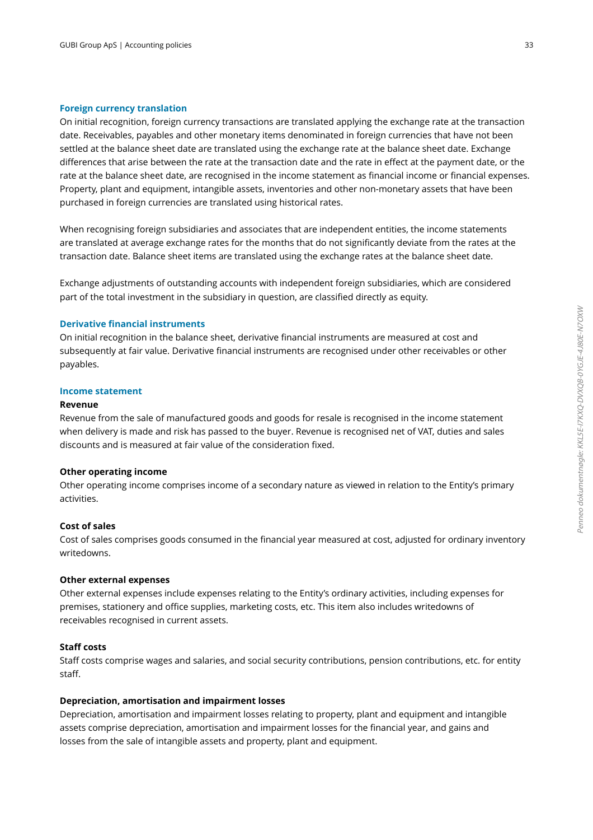### **Foreign currency translation**

On initial recognition, foreign currency transactions are translated applying the exchange rate at the transaction date. Receivables, payables and other monetary items denominated in foreign currencies that have not been settled at the balance sheet date are translated using the exchange rate at the balance sheet date. Exchange differences that arise between the rate at the transaction date and the rate in effect at the payment date, or the rate at the balance sheet date, are recognised in the income statement as financial income or financial expenses. Property, plant and equipment, intangible assets, inventories and other non-monetary assets that have been purchased in foreign currencies are translated using historical rates.

 When recognising foreign subsidiaries and associates that are independent entities, the income statements are translated at average exchange rates for the months that do not significantly deviate from the rates at the transaction date. Balance sheet items are translated using the exchange rates at the balance sheet date.

 Exchange adjustments of outstanding accounts with independent foreign subsidiaries, which are considered part of the total investment in the subsidiary in question, are classified directly as equity.

### **Derivative financial instruments**

On initial recognition in the balance sheet, derivative financial instruments are measured at cost and subsequently at fair value. Derivative financial instruments are recognised under other receivables or other payables.

### **Income statement**

### **Revenue**

Revenue from the sale of manufactured goods and goods for resale is recognised in the income statement when delivery is made and risk has passed to the buyer. Revenue is recognised net of VAT, duties and sales discounts and is measured at fair value of the consideration fixed.

### **Other operating income**

Other operating income comprises income of a secondary nature as viewed in relation to the Entity's primary activities.

### **Cost of sales**

Cost of sales comprises goods consumed in the financial year measured at cost, adjusted for ordinaryinventory writedowns.

### **Other external expenses**

Other external expenses include expenses relating to the Entity's ordinary activities, including expenses for premises, stationery and office supplies, marketing costs, etc. This item also includes writedowns of receivables recognised in current assets.

### **Staff costs**

Staff costs comprise wages and salaries, and social security contributions, pension contributions, etc . for entity staff.

### **Depreciation, amortisation and impairment losses**

Depreciation, amortisation and impairment losses relating to property, plant and equipment and intangible assets comprise depreciation, amortisation and impairment losses for the financial year, and gains and losses from the sale of intangible assets and property, plant and equipment.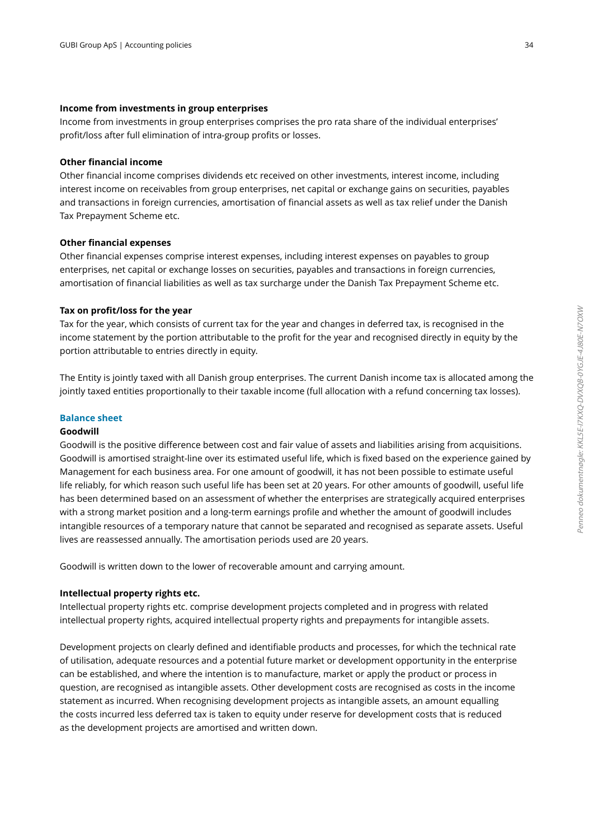### **Income from investments in group enterprises**

Income from investments in group enterprises comprises the pro rata share of the individual enterprises' profit/loss after full elimination of intra-group profits or losses.

### **Other financial income**

Other financial income comprises dividends etc received on other investments, interest income, including interest income on receivables from group enterprises, net capital or exchange gains on securities, payables and transactions in foreign currencies, amortisation of financial assets as well as tax relief under the Danish Tax Prepayment Scheme etc.

### **Other financial expenses**

Other financial expenses comprise interest expenses, including interest expenses on payables to group enterprises, net capital or exchange losses on securities, payables and transactions in foreign currencies, amortisation of financial liabilities as well as tax surcharge under the Danish Tax Prepayment Scheme etc.

### **Tax on profit/loss for the year**

Tax for the year, which consists of current tax for the year and changes in deferred tax, is recognised in the income statement by the portion attributable to the profit for the year and recognised directly in equity by the portion attributable to entries directly in equity.

The Entity is jointly taxed with all Danish group enterprises. The current Danish income tax is allocated among the jointly taxed entities proportionally to their taxable income (full allocation with a refund concerning tax losses).

### **Balance sheet**

### **Goodwill**

Goodwill is the positive difference between cost and fair value of assets and liabilities arising from acquisitions. Goodwill is amortised straight-line over its estimated useful life, which is fixed based on the experience gained by Management for each business area. For one amount of goodwill, it has not been possible to estimate useful life reliably, for which reason such useful life has been set at 20 years. For other amounts of goodwill, useful life has been determined based on an assessment of whether the enterprises are strategically acquired enterprises with a strong market position and a long-term earnings profile and whether the amount of goodwill includes intangible resources of a temporary nature that cannot be separated and recognised as separate assets. Useful lives are reassessed annually. The amortisation periods used are 20 years.

Goodwill is written down to the lower of recoverable amount and carrying amount.

### **Intellectual property rights etc.**

Intellectual property rights etc. comprise development projects completed and in progress with related intellectual property rights, acquired intellectual property rights and prepayments for intangible assets.

Development projects on clearly defined and identifiable products and processes, for which the technical rate of utilisation, adequate resources and a potential future market or development opportunity in the enterprise can be established, and where the intention is to manufacture, market or apply the product or process in question, are recognised as intangible assets. Other development costs are recognised as costs in the income statement as incurred. When recognising development projects as intangible assets, an amount equalling the costs incurred less deferred tax is taken to equity under reserve for development costs that is reduced as the development projects are amortised and written down.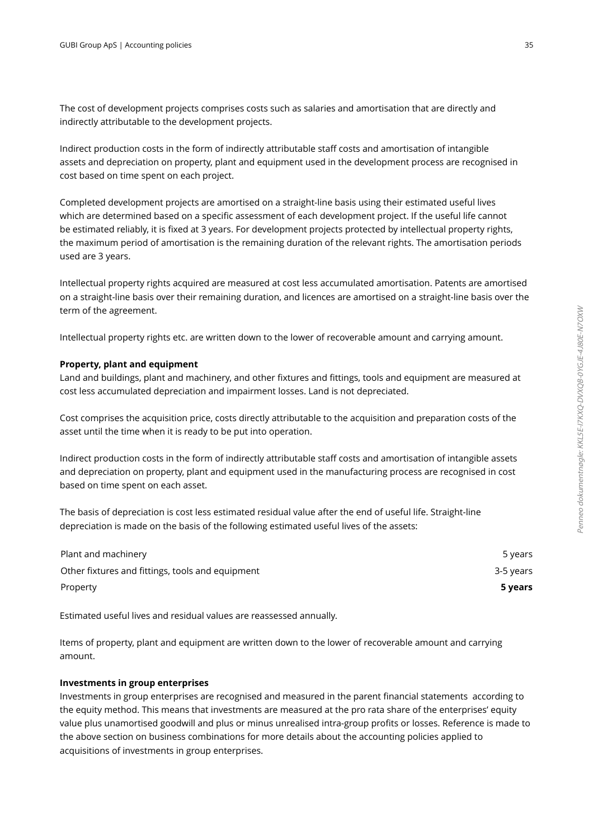The cost of development projects comprises costs such as salaries and amortisation that are directly and indirectly attributable to the development projects.

 Indirect production costs in the form of indirectly attributable staff costs and amortisation of intangible assets and depreciation on property, plant and equipment used in the development process are recognised in cost based on time spent on each project.

 Completed development projects are amortised on a straight-line basis using their estimated useful lives which are determined based on a specific assessment of each development project. If the useful life cannot be estimated reliably, it is fixed at 3 years. For development projects protected by intellectual property rights, the maximum period of amortisation is the remaining duration of the relevant rights. The amortisation periods used are 3 years.

Intellectual property rights acquired are measured at cost less accumulated amortisation. Patents are amortised on a straight-line basis over their remaining duration, and licences are amortised on a straight-line basis over the term of the agreement.

Intellectual property rights etc. are written down to the lower of recoverable amount and carrying amount.

### **Property, plant and equipment**

Land and buildings, plant and machinery, and other fixtures and fittings, tools and equipment are measured at cost less accumulated depreciation and impairment losses. Land is not depreciated.

 Cost comprises the acquisition price, costs directly attributable to the acquisition and preparation costs of the asset until the time when it is ready to be put into operation.

 Indirect production costs in the form of indirectly attributable staff costs and amortisation of intangible assets and depreciation on property, plant and equipment used in the manufacturing process are recognisedin cost based on time spent on each asset.

 The basis of depreciation is cost less estimated residual value after the end of useful life. Straight-line depreciation is made on the basis of the following estimated useful lives of the assets:

| Plant and machinery                              | 5 years   |
|--------------------------------------------------|-----------|
| Other fixtures and fittings, tools and equipment | 3-5 years |
| Property                                         | 5 years   |

Estimated useful lives and residual values are reassessed annually.

 Items of property, plant and equipment are written down to the lower of recoverable amount and carrying amount.

### **Investments in group enterprises**

Investments in group enterprises are recognised and measured in the parent financial statements according to the equity method. This means that investments are measured at the pro rata share of the enterprises' equity value plus unamortised goodwill and plus or minus unrealised intra-group profits or losses. Reference is made to the above section on business combinations for more details about the accounting policies applied to acquisitions of investments in group enterprises.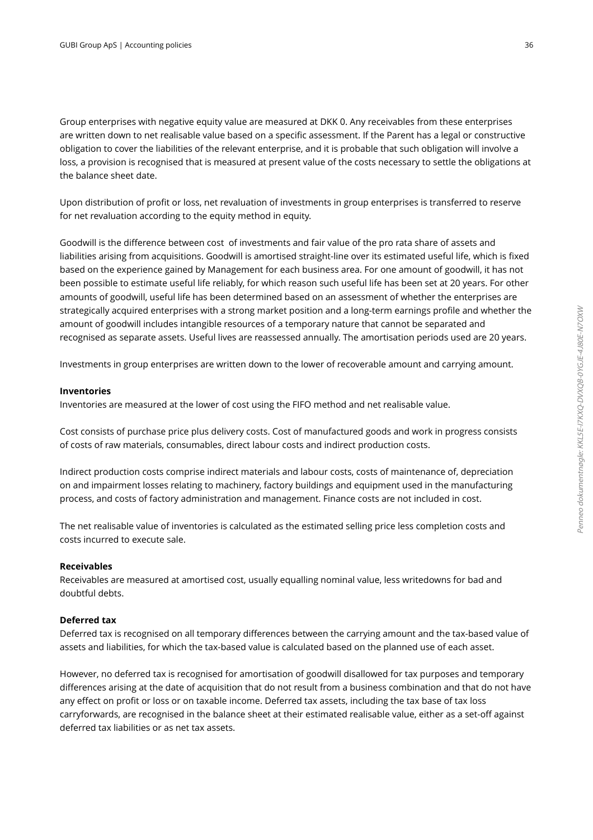Group enterprises with negative equity value are measured at DKK 0. Any receivables from these enterprises are written down to net realisable value based on a specific assessment. If the Parent has a legal or constructive obligation to cover the liabilities of the relevant enterprise, and it is probable that such obligation will involve a loss, a provision is recognised that is measured at present value of the costs necessary to settle the obligations at the balance sheet date.

 Upon distribution of profit or loss, net revaluation of investments in group enterprises is transferred to reserve for net revaluation according to the equity method in equity.

Goodwill is the difference between cost of investments and fair value of the pro rata share of assets and liabilities arising from acquisitions. Goodwill is amortised straight-line over its estimated useful life, which is fixed based on the experience gained by Management for each business area. For one amount of goodwill, it has not been possible to estimate useful life reliably, for which reason such useful life has been set at 20 years. For other amounts of goodwill, useful life has been determined based on an assessment of whether the enterprises are strategically acquired enterprises with a strong market position and a long-term earnings profile and whether the amount of goodwill includes intangible resources of a temporary nature that cannot be separated and recognised as separate assets. Useful lives are reassessed annually. The amortisation periods used are 20 years.

Investments in group enterprises are written down to the lower of recoverable amount and carrying amount.

### **Inventories**

Inventories are measured at the lower of cost using the FIFO method and net realisable value.

 Cost consists of purchase price plus delivery costs. Cost of manufactured goods and work in progress consists of costs of raw materials, consumables, direct labour costs and indirect production costs.

Indirect production costs comprise indirect materials and labour costs, costs of maintenance of, depreciation on and impairment losses relating to machinery, factory buildings and equipment used in the manufacturing process, and costs of factory administration and management. Finance costs are not included in cost.

 The net realisable value of inventories is calculated as the estimated selling price less completion costs and costs incurred to execute sale.

### **Receivables**

Receivables are measured at amortised cost, usually equalling nominal value, less writedowns for bad and doubtful debts.

### **Deferred tax**

Deferred tax is recognised on all temporary differences between the carrying amount and the tax-based value of assets and liabilities, for which the tax-based value is calculated based on the planned use of each asset.

 However, no deferred tax is recognised for amortisation of goodwill disallowed for tax purposes and temporary differences arising at the date of acquisition that do not result from a business combination and that do not have any effect on profit or loss or on taxable income. Deferred tax assets, including the tax base of tax loss carryforwards, are recognised in the balance sheet at their estimated realisable value, either as a set-off against deferred tax liabilities or as net tax assets.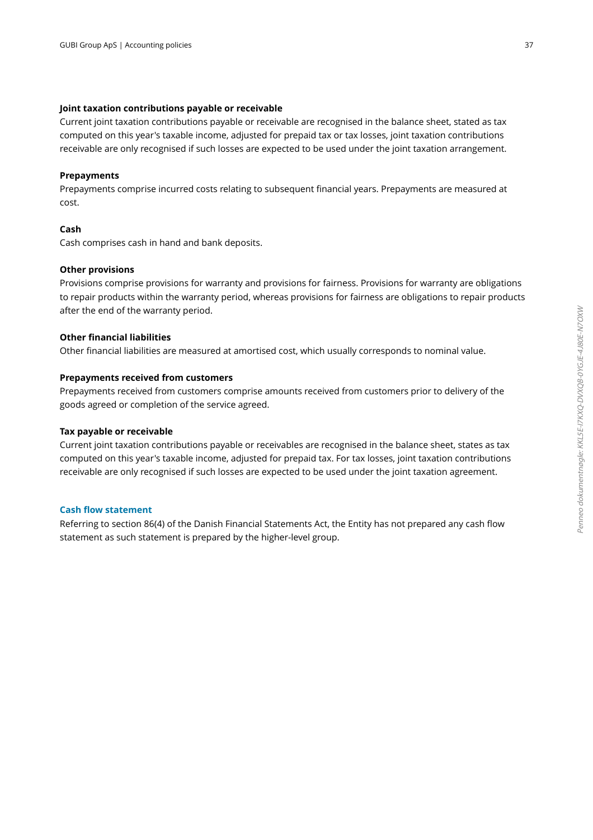### **Joint taxation contributions payable or receivable**

Current joint taxation contributions payable or receivable are recognised in the balance sheet, stated as tax computed on this year's taxable income, adjusted for prepaid tax or tax losses, joint taxation contributions receivable are only recognised if such losses are expected to be used under the joint taxation arrangement.

### **Prepayments**

Prepayments comprise incurred costs relating to subsequent financial years. Prepayments are measured at cost.

### **Cash**

Cash comprises cash in hand and bank deposits.

### **Other provisions**

Provisions comprise provisions for warranty and provisions for fairness. Provisions for warranty are obligations to repair products within the warranty period, whereas provisions for fairness are obligations to repair products after the end of the warranty period.

### **Other financial liabilities**

Other financial liabilities are measured at amortised cost, which usually corresponds to nominal value.

### **Prepayments received from customers**

Prepayments received from customers comprise amounts received from customers prior to delivery of the goods agreed or completion of the service agreed.

### **Tax payable or receivable**

Current joint taxation contributions payable or receivables are recognised in the balance sheet, states as tax computed on this year's taxable income, adjusted for prepaid tax. For tax losses, joint taxation contributions receivable are only recognised if such losses are expected to be used under the joint taxation agreement.

### **Cash flow statement**

Referring to section 86(4) of the Danish Financial Statements Act, the Entity has not prepared any cash flow statement as such statement is prepared by the higher-level group.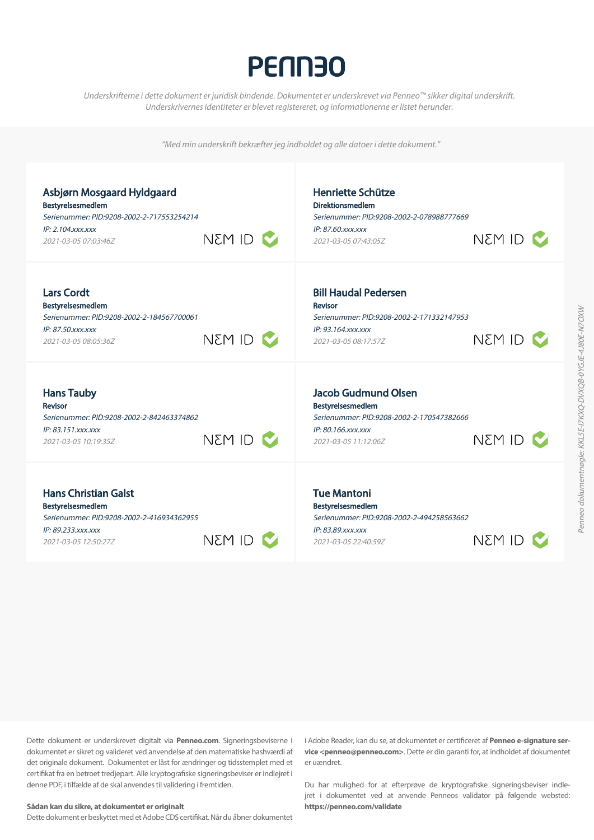## **PENN30**

*Underskrifterne i dette dokument er juridisk bindende. Dokumentet er underskrevet via Penneo™ sikker digital underskrift*. Underskrivernes identiteter er blevet registereret, og informationerne er listet herunder.

"Med min underskrift bekræfter jeg indholdet og alle datoer i dette dokument."

| Asbjørn Mosgaard Hyldgaard<br>Bestyrelsesmedlem<br>Serienummer: PID:9208-2002-2-717553254214<br>$IP: 2.104$ . $xxxx$<br>2021-03-05 07:03:46Z | NEM ID <b>V</b> | Henriette Schütze<br><b>Direktionsmedlem</b><br>Serienummer: PID:9208-2002-2-078988777669<br>IP: 87.60.xxx.xxx<br>2021-03-05 07:43:05Z     | NEM ID <b>N</b> |
|----------------------------------------------------------------------------------------------------------------------------------------------|-----------------|--------------------------------------------------------------------------------------------------------------------------------------------|-----------------|
| <b>Lars Cordt</b><br>Bestyrelsesmedlem<br>Serienummer: PID:9208-2002-2-184567700061<br>IP: 87.50. xxx. xxx<br>2021-03-05 08:05:36Z           | $\sim$ ID M3N   | <b>Bill Haudal Pedersen</b><br><b>Revisor</b><br>Serienummer: PID:9208-2002-2-171332147953<br>IP: 93.164.xxx.xxx<br>2021-03-05 08:17:57Z   | I M3N           |
| <b>Hans Tauby</b><br>Revisor<br>Serienummer: PID:9208-2002-2-842463374862<br>IP: 83.151.xxx.xxx<br>2021-03-05 10:19:35Z                      | NEM ID <b>M</b> | <b>Jacob Gudmund Olsen</b><br>Bestyrelsesmedlem<br>Serienummer: PID:9208-2002-2-170547382666<br>IP: 80.166.xxx.xxx<br>2021-03-05 11:12:06Z | <b>NEM ID</b>   |
| <b>Hans Christian Galst</b><br>Bestyrelsesmedlem<br>Serienummer: PID:9208-2002-2-416934362955<br>IP: 89.233.xxx.xxx<br>2021-03-05 12:50:27Z  | <b>NEM ID</b>   | <b>Tue Mantoni</b><br>Bestyrelsesmedlem<br>Serienummer: PID:9208-2002-2-494258563662<br>IP: 83.89.xxx.xxx<br>2021-03-05 22:40:59Z          | NEM ID          |

Dette dokument er underskrevet digitalt via **Penneo.com**. Signeringsbeviserne i dokumentet er sikret og valideret ved anvendelse af den matematiske hashværdi af det originale dokument. Dokumentet er låst for ændringer og tidsstemplet med et certifikat fra en betroet tredjepart. Alle kryptografiske signeringsbeviser er indlejret i denne PDF, i tilfælde af de skal anvendes til validering i fremtiden.

#### **Sådan kan du sikre, at dokumentet er originalt**

Dette dokument er beskyttet med et Adobe CDS certifikat. Når du åbner dokumentet

i Adobe Reader, kan du se, at dokumentet er certificeret af **Penneo e-signature ser vice <penneo@penneo.com>**. Dette er din garanti for, at indholdet af dokumentet er uændret.

Du har mulighed for at efterprøve de kryptografiske signeringsbeviser indle jret i dokumentet ved at anvende Penneos validator på følgende websted: **https://penneo.com/validate**